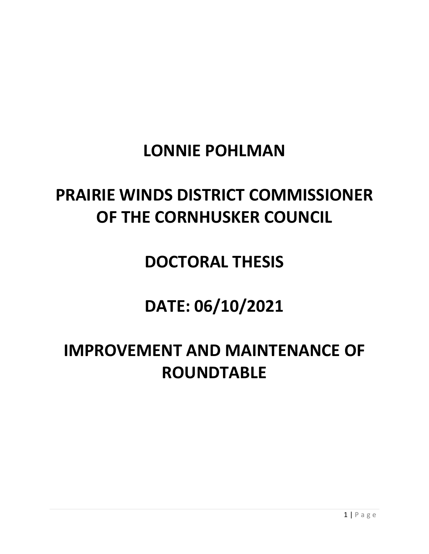## **LONNIE POHLMAN**

# **PRAIRIE WINDS DISTRICT COMMISSIONER OF THE CORNHUSKER COUNCIL**

## **DOCTORAL THESIS**

## **DATE: 06/10/2021**

# **IMPROVEMENT AND MAINTENANCE OF ROUNDTABLE**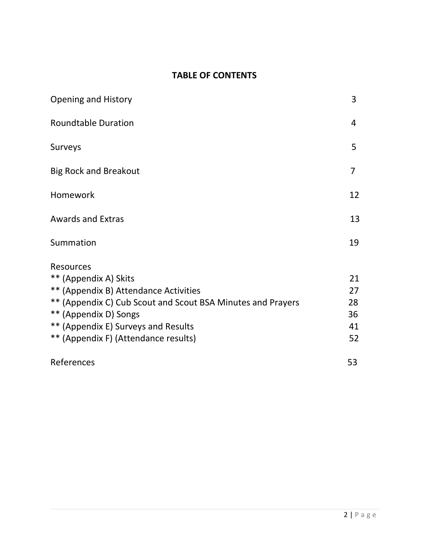## **TABLE OF CONTENTS**

| <b>Opening and History</b>                                  | 3  |
|-------------------------------------------------------------|----|
| <b>Roundtable Duration</b>                                  | 4  |
| Surveys                                                     | 5  |
| <b>Big Rock and Breakout</b>                                | 7  |
| Homework                                                    | 12 |
| <b>Awards and Extras</b>                                    | 13 |
| Summation                                                   | 19 |
| <b>Resources</b>                                            |    |
| ** (Appendix A) Skits                                       | 21 |
| ** (Appendix B) Attendance Activities                       | 27 |
| ** (Appendix C) Cub Scout and Scout BSA Minutes and Prayers | 28 |
| ** (Appendix D) Songs                                       | 36 |
| ** (Appendix E) Surveys and Results                         | 41 |
| ** (Appendix F) (Attendance results)                        | 52 |
| References                                                  | 53 |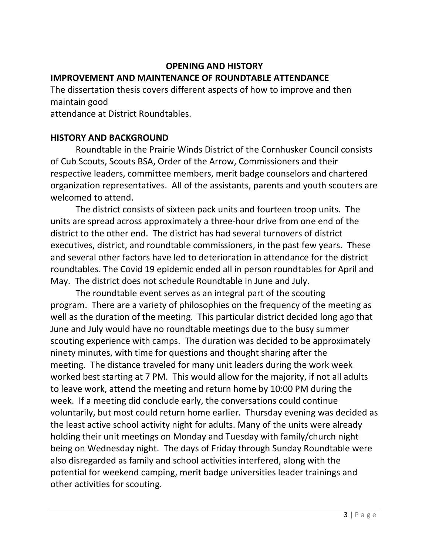## **OPENING AND HISTORY IMPROVEMENT AND MAINTENANCE OF ROUNDTABLE ATTENDANCE**

The dissertation thesis covers different aspects of how to improve and then maintain good

attendance at District Roundtables.

#### **HISTORY AND BACKGROUND**

Roundtable in the Prairie Winds District of the Cornhusker Council consists of Cub Scouts, Scouts BSA, Order of the Arrow, Commissioners and their respective leaders, committee members, merit badge counselors and chartered organization representatives. All of the assistants, parents and youth scouters are welcomed to attend.

The district consists of sixteen pack units and fourteen troop units. The units are spread across approximately a three-hour drive from one end of the district to the other end. The district has had several turnovers of district executives, district, and roundtable commissioners, in the past few years. These and several other factors have led to deterioration in attendance for the district roundtables. The Covid 19 epidemic ended all in person roundtables for April and May. The district does not schedule Roundtable in June and July.

The roundtable event serves as an integral part of the scouting program. There are a variety of philosophies on the frequency of the meeting as well as the duration of the meeting. This particular district decided long ago that June and July would have no roundtable meetings due to the busy summer scouting experience with camps. The duration was decided to be approximately ninety minutes, with time for questions and thought sharing after the meeting. The distance traveled for many unit leaders during the work week worked best starting at 7 PM. This would allow for the majority, if not all adults to leave work, attend the meeting and return home by 10:00 PM during the week. If a meeting did conclude early, the conversations could continue voluntarily, but most could return home earlier. Thursday evening was decided as the least active school activity night for adults. Many of the units were already holding their unit meetings on Monday and Tuesday with family/church night being on Wednesday night. The days of Friday through Sunday Roundtable were also disregarded as family and school activities interfered, along with the potential for weekend camping, merit badge universities leader trainings and other activities for scouting.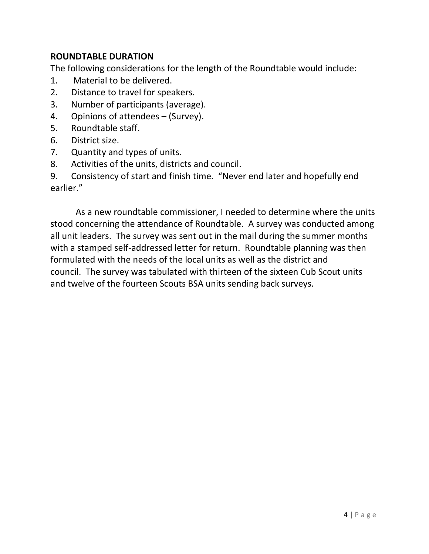#### **ROUNDTABLE DURATION**

The following considerations for the length of the Roundtable would include:

- 1. Material to be delivered.
- 2. Distance to travel for speakers.
- 3. Number of participants (average).
- 4. Opinions of attendees (Survey).
- 5. Roundtable staff.
- 6. District size.
- 7. Quantity and types of units.
- 8. Activities of the units, districts and council.

9. Consistency of start and finish time. "Never end later and hopefully end earlier."

As a new roundtable commissioner, I needed to determine where the units stood concerning the attendance of Roundtable. A survey was conducted among all unit leaders. The survey was sent out in the mail during the summer months with a stamped self-addressed letter for return. Roundtable planning was then formulated with the needs of the local units as well as the district and council. The survey was tabulated with thirteen of the sixteen Cub Scout units and twelve of the fourteen Scouts BSA units sending back surveys.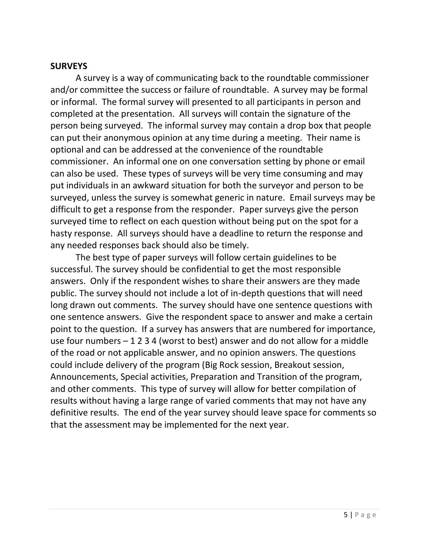#### **SURVEYS**

A survey is a way of communicating back to the roundtable commissioner and/or committee the success or failure of roundtable. A survey may be formal or informal. The formal survey will presented to all participants in person and completed at the presentation. All surveys will contain the signature of the person being surveyed. The informal survey may contain a drop box that people can put their anonymous opinion at any time during a meeting. Their name is optional and can be addressed at the convenience of the roundtable commissioner. An informal one on one conversation setting by phone or email can also be used. These types of surveys will be very time consuming and may put individuals in an awkward situation for both the surveyor and person to be surveyed, unless the survey is somewhat generic in nature. Email surveys may be difficult to get a response from the responder. Paper surveys give the person surveyed time to reflect on each question without being put on the spot for a hasty response. All surveys should have a deadline to return the response and any needed responses back should also be timely.

The best type of paper surveys will follow certain guidelines to be successful. The survey should be confidential to get the most responsible answers. Only if the respondent wishes to share their answers are they made public. The survey should not include a lot of in-depth questions that will need long drawn out comments. The survey should have one sentence questions with one sentence answers. Give the respondent space to answer and make a certain point to the question. If a survey has answers that are numbered for importance, use four numbers  $-1234$  (worst to best) answer and do not allow for a middle of the road or not applicable answer, and no opinion answers. The questions could include delivery of the program (Big Rock session, Breakout session, Announcements, Special activities, Preparation and Transition of the program, and other comments. This type of survey will allow for better compilation of results without having a large range of varied comments that may not have any definitive results. The end of the year survey should leave space for comments so that the assessment may be implemented for the next year.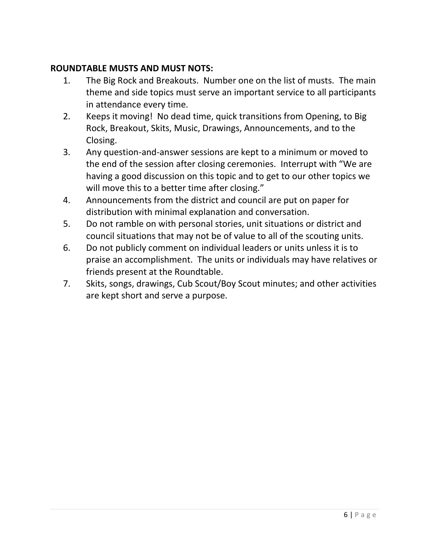## **ROUNDTABLE MUSTS AND MUST NOTS:**

- 1. The Big Rock and Breakouts. Number one on the list of musts. The main theme and side topics must serve an important service to all participants in attendance every time.
- 2. Keeps it moving! No dead time, quick transitions from Opening, to Big Rock, Breakout, Skits, Music, Drawings, Announcements, and to the Closing.
- 3. Any question-and-answer sessions are kept to a minimum or moved to the end of the session after closing ceremonies. Interrupt with "We are having a good discussion on this topic and to get to our other topics we will move this to a better time after closing."
- 4. Announcements from the district and council are put on paper for distribution with minimal explanation and conversation.
- 5. Do not ramble on with personal stories, unit situations or district and council situations that may not be of value to all of the scouting units.
- 6. Do not publicly comment on individual leaders or units unless it is to praise an accomplishment. The units or individuals may have relatives or friends present at the Roundtable.
- 7. Skits, songs, drawings, Cub Scout/Boy Scout minutes; and other activities are kept short and serve a purpose.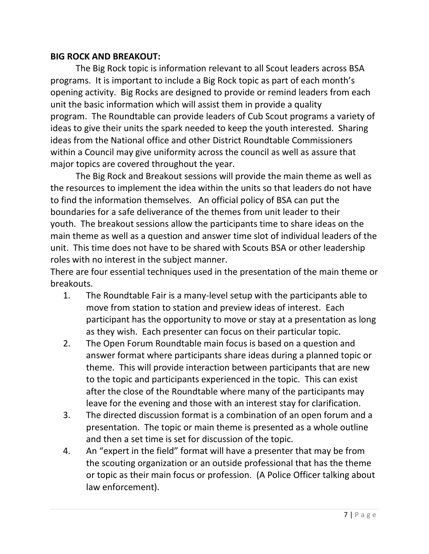#### **BIG ROCK AND BREAKOUT:**

The Big Rock topic is information relevant to all Scout leaders across BSA programs. It is important to include a Big Rock topic as part of each month's opening activity. Big Rocks are designed to provide or remind leaders from each unit the basic information which will assist them in provide a quality program. The Roundtable can provide leaders of Cub Scout programs a variety of ideas to give their units the spark needed to keep the youth interested. Sharing ideas from the National office and other District Roundtable Commissioners within a Council may give uniformity across the council as well as assure that major topics are covered throughout the year.

The Big Rock and Breakout sessions will provide the main theme as well as the resources to implement the idea within the units so that leaders do not have to find the information themselves. An official policy of BSA can put the boundaries for a safe deliverance of the themes from unit leader to their youth. The breakout sessions allow the participants time to share ideas on the main theme as well as a question and answer time slot of individual leaders of the unit. This time does not have to be shared with Scouts BSA or other leadership roles with no interest in the subject manner.

There are four essential techniques used in the presentation of the main theme or breakouts.

- 1. The Roundtable Fair is a many-level setup with the participants able to move from station to station and preview ideas of interest. Each participant has the opportunity to move or stay at a presentation as long as they wish. Each presenter can focus on their particular topic.
- 2. The Open Forum Roundtable main focus is based on a question and answer format where participants share ideas during a planned topic or theme. This will provide interaction between participants that are new to the topic and participants experienced in the topic. This can exist after the close of the Roundtable where many of the participants may leave for the evening and those with an interest stay for clarification.
- 3. The directed discussion format is a combination of an open forum and a presentation. The topic or main theme is presented as a whole outline and then a set time is set for discussion of the topic.
- 4. An "expert in the field" format will have a presenter that may be from the scouting organization or an outside professional that has the theme or topic as their main focus or profession. (A Police Officer talking about law enforcement).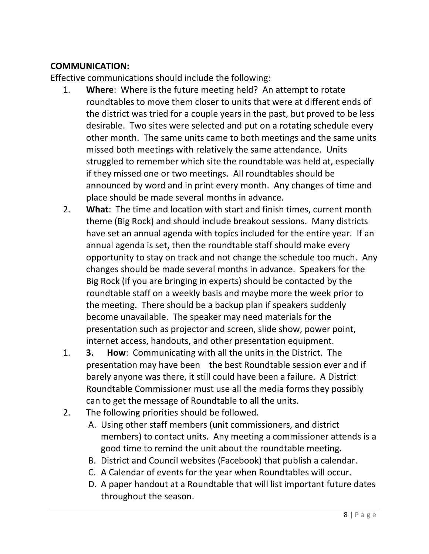## **COMMUNICATION:**

Effective communications should include the following:

- 1. **Where**: Where is the future meeting held? An attempt to rotate roundtables to move them closer to units that were at different ends of the district was tried for a couple years in the past, but proved to be less desirable. Two sites were selected and put on a rotating schedule every other month. The same units came to both meetings and the same units missed both meetings with relatively the same attendance. Units struggled to remember which site the roundtable was held at, especially if they missed one or two meetings. All roundtables should be announced by word and in print every month. Any changes of time and place should be made several months in advance.
- 2. **What**: The time and location with start and finish times, current month theme (Big Rock) and should include breakout sessions. Many districts have set an annual agenda with topics included for the entire year. If an annual agenda is set, then the roundtable staff should make every opportunity to stay on track and not change the schedule too much. Any changes should be made several months in advance. Speakers for the Big Rock (if you are bringing in experts) should be contacted by the roundtable staff on a weekly basis and maybe more the week prior to the meeting. There should be a backup plan if speakers suddenly become unavailable. The speaker may need materials for the presentation such as projector and screen, slide show, power point, internet access, handouts, and other presentation equipment.
- 1. **3. How**: Communicating with all the units in the District. The presentation may have been the best Roundtable session ever and if barely anyone was there, it still could have been a failure. A District Roundtable Commissioner must use all the media forms they possibly can to get the message of Roundtable to all the units.
- 2. The following priorities should be followed.
	- A. Using other staff members (unit commissioners, and district members) to contact units. Any meeting a commissioner attends is a good time to remind the unit about the roundtable meeting.
	- B. District and Council websites (Facebook) that publish a calendar.
	- C. A Calendar of events for the year when Roundtables will occur.
	- D. A paper handout at a Roundtable that will list important future dates throughout the season.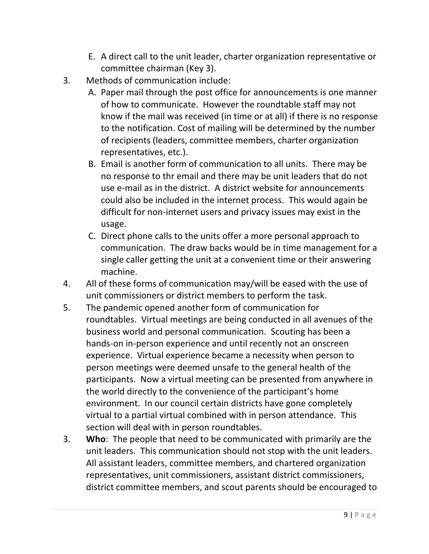- E. A direct call to the unit leader, charter organization representative or committee chairman (Key 3).
- 3. Methods of communication include:
	- A. Paper mail through the post office for announcements is one manner of how to communicate. However the roundtable staff may not know if the mail was received (in time or at all) if there is no response to the notification. Cost of mailing will be determined by the number of recipients (leaders, committee members, charter organization representatives, etc.).
	- B. Email is another form of communication to all units. There may be no response to thr email and there may be unit leaders that do not use e-mail as in the district. A district website for announcements could also be included in the internet process. This would again be difficult for non-internet users and privacy issues may exist in the usage.
	- C. Direct phone calls to the units offer a more personal approach to communication. The draw backs would be in time management for a single caller getting the unit at a convenient time or their answering machine.
- 4. All of these forms of communication may/will be eased with the use of unit commissioners or district members to perform the task.
- 5. The pandemic opened another form of communication for roundtables. Virtual meetings are being conducted in all avenues of the business world and personal communication. Scouting has been a hands-on in-person experience and until recently not an onscreen experience. Virtual experience became a necessity when person to person meetings were deemed unsafe to the general health of the participants. Now a virtual meeting can be presented from anywhere in the world directly to the convenience of the participant's home environment. In our council certain districts have gone completely virtual to a partial virtual combined with in person attendance. This section will deal with in person roundtables.
- 3. **Who**: The people that need to be communicated with primarily are the unit leaders. This communication should not stop with the unit leaders. All assistant leaders, committee members, and chartered organization representatives, unit commissioners, assistant district commissioners, district committee members, and scout parents should be encouraged to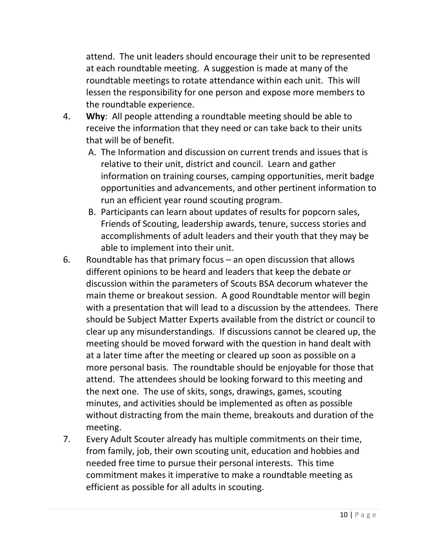attend. The unit leaders should encourage their unit to be represented at each roundtable meeting. A suggestion is made at many of the roundtable meetings to rotate attendance within each unit. This will lessen the responsibility for one person and expose more members to the roundtable experience.

- 4. **Why**: All people attending a roundtable meeting should be able to receive the information that they need or can take back to their units that will be of benefit.
	- A. The Information and discussion on current trends and issues that is relative to their unit, district and council. Learn and gather information on training courses, camping opportunities, merit badge opportunities and advancements, and other pertinent information to run an efficient year round scouting program.
	- B. Participants can learn about updates of results for popcorn sales, Friends of Scouting, leadership awards, tenure, success stories and accomplishments of adult leaders and their youth that they may be able to implement into their unit.
- 6. Roundtable has that primary focus an open discussion that allows different opinions to be heard and leaders that keep the debate or discussion within the parameters of Scouts BSA decorum whatever the main theme or breakout session. A good Roundtable mentor will begin with a presentation that will lead to a discussion by the attendees. There should be Subject Matter Experts available from the district or council to clear up any misunderstandings. If discussions cannot be cleared up, the meeting should be moved forward with the question in hand dealt with at a later time after the meeting or cleared up soon as possible on a more personal basis. The roundtable should be enjoyable for those that attend. The attendees should be looking forward to this meeting and the next one. The use of skits, songs, drawings, games, scouting minutes, and activities should be implemented as often as possible without distracting from the main theme, breakouts and duration of the meeting.
- 7. Every Adult Scouter already has multiple commitments on their time, from family, job, their own scouting unit, education and hobbies and needed free time to pursue their personal interests. This time commitment makes it imperative to make a roundtable meeting as efficient as possible for all adults in scouting.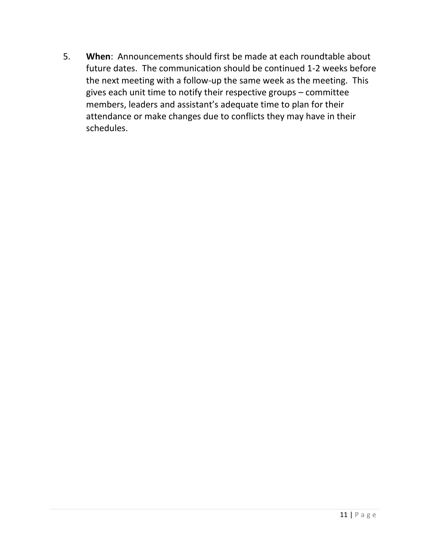5. **When**: Announcements should first be made at each roundtable about future dates. The communication should be continued 1-2 weeks before the next meeting with a follow-up the same week as the meeting. This gives each unit time to notify their respective groups – committee members, leaders and assistant's adequate time to plan for their attendance or make changes due to conflicts they may have in their schedules.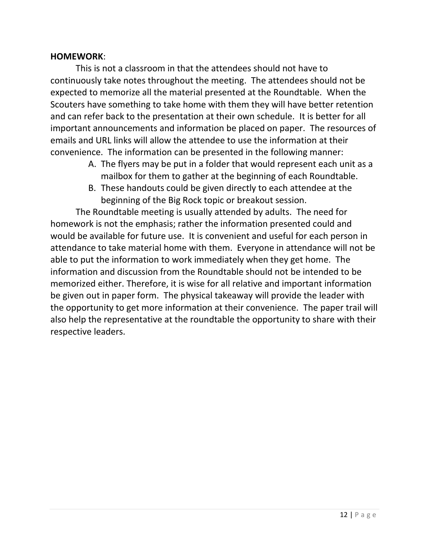#### **HOMEWORK**:

This is not a classroom in that the attendees should not have to continuously take notes throughout the meeting. The attendees should not be expected to memorize all the material presented at the Roundtable. When the Scouters have something to take home with them they will have better retention and can refer back to the presentation at their own schedule. It is better for all important announcements and information be placed on paper. The resources of emails and URL links will allow the attendee to use the information at their convenience. The information can be presented in the following manner:

- A. The flyers may be put in a folder that would represent each unit as a mailbox for them to gather at the beginning of each Roundtable.
- B. These handouts could be given directly to each attendee at the beginning of the Big Rock topic or breakout session.

The Roundtable meeting is usually attended by adults. The need for homework is not the emphasis; rather the information presented could and would be available for future use. It is convenient and useful for each person in attendance to take material home with them. Everyone in attendance will not be able to put the information to work immediately when they get home. The information and discussion from the Roundtable should not be intended to be memorized either. Therefore, it is wise for all relative and important information be given out in paper form. The physical takeaway will provide the leader with the opportunity to get more information at their convenience. The paper trail will also help the representative at the roundtable the opportunity to share with their respective leaders.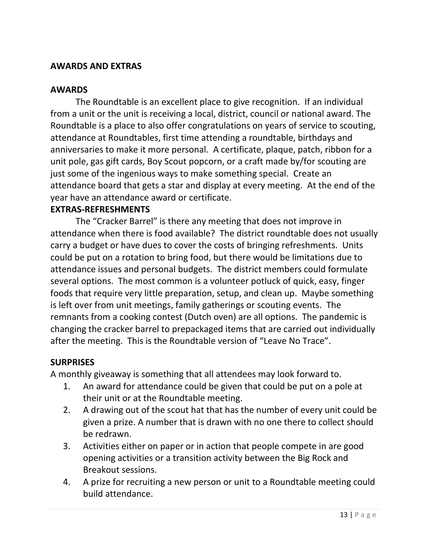#### **AWARDS AND EXTRAS**

#### **AWARDS**

The Roundtable is an excellent place to give recognition. If an individual from a unit or the unit is receiving a local, district, council or national award. The Roundtable is a place to also offer congratulations on years of service to scouting, attendance at Roundtables, first time attending a roundtable, birthdays and anniversaries to make it more personal. A certificate, plaque, patch, ribbon for a unit pole, gas gift cards, Boy Scout popcorn, or a craft made by/for scouting are just some of the ingenious ways to make something special. Create an attendance board that gets a star and display at every meeting. At the end of the year have an attendance award or certificate.

#### **EXTRAS-REFRESHMENTS**

The "Cracker Barrel" is there any meeting that does not improve in attendance when there is food available? The district roundtable does not usually carry a budget or have dues to cover the costs of bringing refreshments. Units could be put on a rotation to bring food, but there would be limitations due to attendance issues and personal budgets. The district members could formulate several options. The most common is a volunteer potluck of quick, easy, finger foods that require very little preparation, setup, and clean up. Maybe something is left over from unit meetings, family gatherings or scouting events. The remnants from a cooking contest (Dutch oven) are all options. The pandemic is changing the cracker barrel to prepackaged items that are carried out individually after the meeting. This is the Roundtable version of "Leave No Trace".

#### **SURPRISES**

A monthly giveaway is something that all attendees may look forward to.

- 1. An award for attendance could be given that could be put on a pole at their unit or at the Roundtable meeting.
- 2. A drawing out of the scout hat that has the number of every unit could be given a prize. A number that is drawn with no one there to collect should be redrawn.
- 3. Activities either on paper or in action that people compete in are good opening activities or a transition activity between the Big Rock and Breakout sessions.
- 4. A prize for recruiting a new person or unit to a Roundtable meeting could build attendance.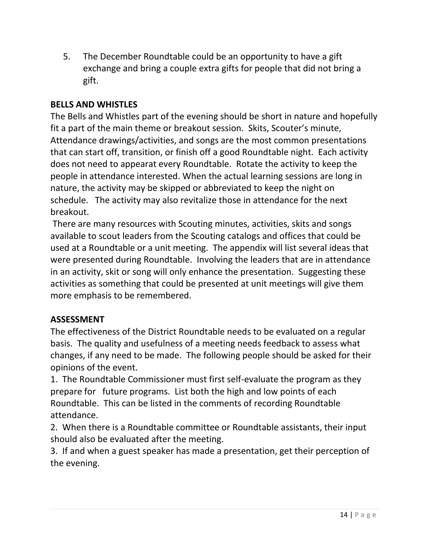5. The December Roundtable could be an opportunity to have a gift exchange and bring a couple extra gifts for people that did not bring a gift.

### **BELLS AND WHISTLES**

The Bells and Whistles part of the evening should be short in nature and hopefully fit a part of the main theme or breakout session. Skits, Scouter's minute, Attendance drawings/activities, and songs are the most common presentations that can start off, transition, or finish off a good Roundtable night. Each activity does not need to appearat every Roundtable. Rotate the activity to keep the people in attendance interested. When the actual learning sessions are long in nature, the activity may be skipped or abbreviated to keep the night on schedule. The activity may also revitalize those in attendance for the next breakout.

There are many resources with Scouting minutes, activities, skits and songs available to scout leaders from the Scouting catalogs and offices that could be used at a Roundtable or a unit meeting. The appendix will list several ideas that were presented during Roundtable. Involving the leaders that are in attendance in an activity, skit or song will only enhance the presentation. Suggesting these activities as something that could be presented at unit meetings will give them more emphasis to be remembered.

## **ASSESSMENT**

The effectiveness of the District Roundtable needs to be evaluated on a regular basis. The quality and usefulness of a meeting needs feedback to assess what changes, if any need to be made. The following people should be asked for their opinions of the event.

1. The Roundtable Commissioner must first self-evaluate the program as they prepare for future programs. List both the high and low points of each Roundtable. This can be listed in the comments of recording Roundtable attendance.

2. When there is a Roundtable committee or Roundtable assistants, their input should also be evaluated after the meeting.

3. If and when a guest speaker has made a presentation, get their perception of the evening.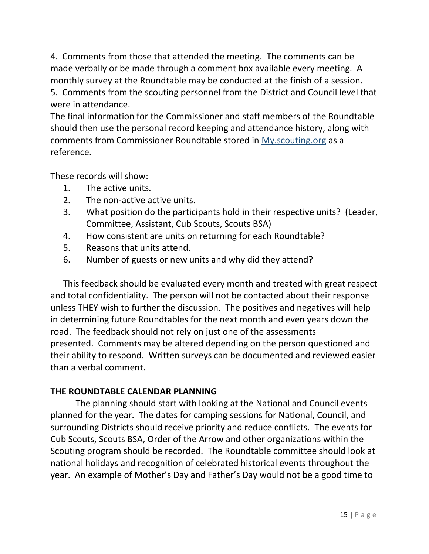4. Comments from those that attended the meeting. The comments can be made verbally or be made through a comment box available every meeting. A monthly survey at the Roundtable may be conducted at the finish of a session.

5. Comments from the scouting personnel from the District and Council level that were in attendance.

The final information for the Commissioner and staff members of the Roundtable should then use the personal record keeping and attendance history, along with comments from Commissioner Roundtable stored in [My.scouting.org](http://my.scouting.org/) as a reference.

These records will show:

- 1. The active units.
- 2. The non-active active units.
- 3. What position do the participants hold in their respective units? (Leader, Committee, Assistant, Cub Scouts, Scouts BSA)
- 4. How consistent are units on returning for each Roundtable?
- 5. Reasons that units attend.
- 6. Number of guests or new units and why did they attend?

This feedback should be evaluated every month and treated with great respect and total confidentiality. The person will not be contacted about their response unless THEY wish to further the discussion. The positives and negatives will help in determining future Roundtables for the next month and even years down the road. The feedback should not rely on just one of the assessments presented. Comments may be altered depending on the person questioned and their ability to respond. Written surveys can be documented and reviewed easier than a verbal comment.

#### **THE ROUNDTABLE CALENDAR PLANNING**

The planning should start with looking at the National and Council events planned for the year. The dates for camping sessions for National, Council, and surrounding Districts should receive priority and reduce conflicts. The events for Cub Scouts, Scouts BSA, Order of the Arrow and other organizations within the Scouting program should be recorded. The Roundtable committee should look at national holidays and recognition of celebrated historical events throughout the year. An example of Mother's Day and Father's Day would not be a good time to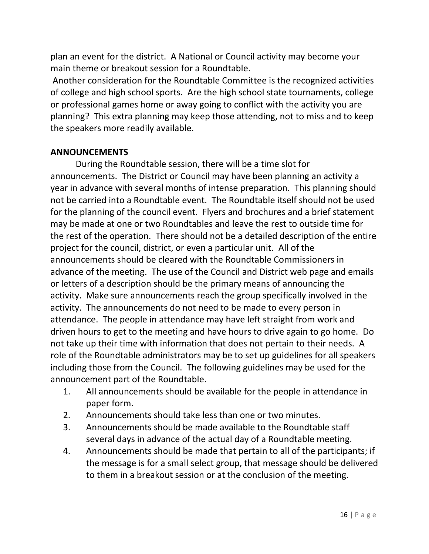plan an event for the district. A National or Council activity may become your main theme or breakout session for a Roundtable.

Another consideration for the Roundtable Committee is the recognized activities of college and high school sports. Are the high school state tournaments, college or professional games home or away going to conflict with the activity you are planning? This extra planning may keep those attending, not to miss and to keep the speakers more readily available.

#### **ANNOUNCEMENTS**

During the Roundtable session, there will be a time slot for announcements. The District or Council may have been planning an activity a year in advance with several months of intense preparation. This planning should not be carried into a Roundtable event. The Roundtable itself should not be used for the planning of the council event. Flyers and brochures and a brief statement may be made at one or two Roundtables and leave the rest to outside time for the rest of the operation. There should not be a detailed description of the entire project for the council, district, or even a particular unit. All of the announcements should be cleared with the Roundtable Commissioners in advance of the meeting. The use of the Council and District web page and emails or letters of a description should be the primary means of announcing the activity. Make sure announcements reach the group specifically involved in the activity. The announcements do not need to be made to every person in attendance. The people in attendance may have left straight from work and driven hours to get to the meeting and have hours to drive again to go home. Do not take up their time with information that does not pertain to their needs. A role of the Roundtable administrators may be to set up guidelines for all speakers including those from the Council. The following guidelines may be used for the announcement part of the Roundtable.

- 1. All announcements should be available for the people in attendance in paper form.
- 2. Announcements should take less than one or two minutes.
- 3. Announcements should be made available to the Roundtable staff several days in advance of the actual day of a Roundtable meeting.
- 4. Announcements should be made that pertain to all of the participants; if the message is for a small select group, that message should be delivered to them in a breakout session or at the conclusion of the meeting.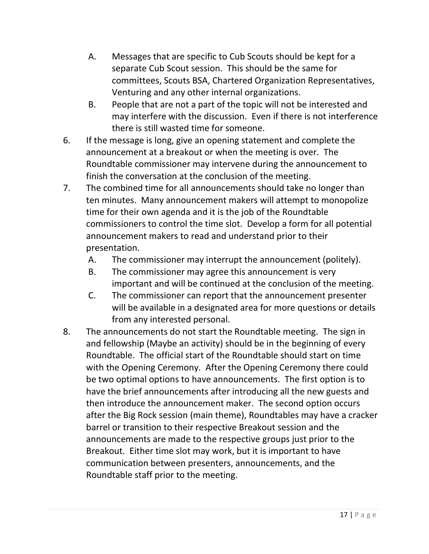- A. Messages that are specific to Cub Scouts should be kept for a separate Cub Scout session. This should be the same for committees, Scouts BSA, Chartered Organization Representatives, Venturing and any other internal organizations.
- B. People that are not a part of the topic will not be interested and may interfere with the discussion. Even if there is not interference there is still wasted time for someone.
- 6. If the message is long, give an opening statement and complete the announcement at a breakout or when the meeting is over. The Roundtable commissioner may intervene during the announcement to finish the conversation at the conclusion of the meeting.
- 7. The combined time for all announcements should take no longer than ten minutes. Many announcement makers will attempt to monopolize time for their own agenda and it is the job of the Roundtable commissioners to control the time slot. Develop a form for all potential announcement makers to read and understand prior to their presentation.
	- A. The commissioner may interrupt the announcement (politely).
	- B. The commissioner may agree this announcement is very important and will be continued at the conclusion of the meeting.
	- C. The commissioner can report that the announcement presenter will be available in a designated area for more questions or details from any interested personal.
- 8. The announcements do not start the Roundtable meeting. The sign in and fellowship (Maybe an activity) should be in the beginning of every Roundtable. The official start of the Roundtable should start on time with the Opening Ceremony. After the Opening Ceremony there could be two optimal options to have announcements. The first option is to have the brief announcements after introducing all the new guests and then introduce the announcement maker. The second option occurs after the Big Rock session (main theme), Roundtables may have a cracker barrel or transition to their respective Breakout session and the announcements are made to the respective groups just prior to the Breakout. Either time slot may work, but it is important to have communication between presenters, announcements, and the Roundtable staff prior to the meeting.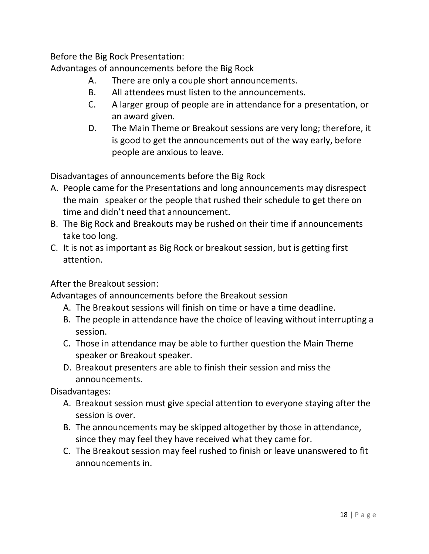Before the Big Rock Presentation:

Advantages of announcements before the Big Rock

- A. There are only a couple short announcements.
- B. All attendees must listen to the announcements.
- C. A larger group of people are in attendance for a presentation, or an award given.
- D. The Main Theme or Breakout sessions are very long; therefore, it is good to get the announcements out of the way early, before people are anxious to leave.

Disadvantages of announcements before the Big Rock

- A. People came for the Presentations and long announcements may disrespect the main speaker or the people that rushed their schedule to get there on time and didn't need that announcement.
- B. The Big Rock and Breakouts may be rushed on their time if announcements take too long.
- C. It is not as important as Big Rock or breakout session, but is getting first attention.

After the Breakout session:

Advantages of announcements before the Breakout session

- A. The Breakout sessions will finish on time or have a time deadline.
- B. The people in attendance have the choice of leaving without interrupting a session.
- C. Those in attendance may be able to further question the Main Theme speaker or Breakout speaker.
- D. Breakout presenters are able to finish their session and miss the announcements.

Disadvantages:

- A. Breakout session must give special attention to everyone staying after the session is over.
- B. The announcements may be skipped altogether by those in attendance, since they may feel they have received what they came for.
- C. The Breakout session may feel rushed to finish or leave unanswered to fit announcements in.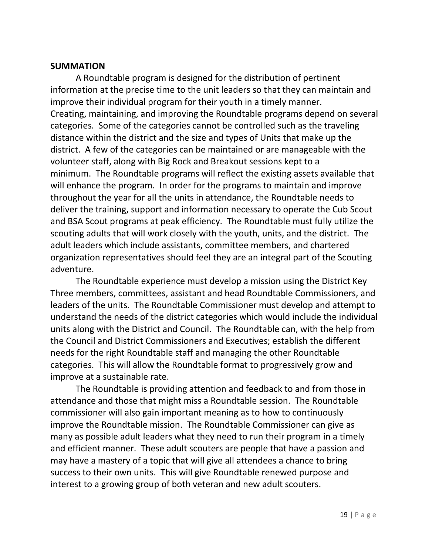#### **SUMMATION**

A Roundtable program is designed for the distribution of pertinent information at the precise time to the unit leaders so that they can maintain and improve their individual program for their youth in a timely manner. Creating, maintaining, and improving the Roundtable programs depend on several categories. Some of the categories cannot be controlled such as the traveling distance within the district and the size and types of Units that make up the district. A few of the categories can be maintained or are manageable with the volunteer staff, along with Big Rock and Breakout sessions kept to a minimum. The Roundtable programs will reflect the existing assets available that will enhance the program. In order for the programs to maintain and improve throughout the year for all the units in attendance, the Roundtable needs to deliver the training, support and information necessary to operate the Cub Scout and BSA Scout programs at peak efficiency. The Roundtable must fully utilize the scouting adults that will work closely with the youth, units, and the district. The adult leaders which include assistants, committee members, and chartered organization representatives should feel they are an integral part of the Scouting adventure.

The Roundtable experience must develop a mission using the District Key Three members, committees, assistant and head Roundtable Commissioners, and leaders of the units. The Roundtable Commissioner must develop and attempt to understand the needs of the district categories which would include the individual units along with the District and Council. The Roundtable can, with the help from the Council and District Commissioners and Executives; establish the different needs for the right Roundtable staff and managing the other Roundtable categories. This will allow the Roundtable format to progressively grow and improve at a sustainable rate.

The Roundtable is providing attention and feedback to and from those in attendance and those that might miss a Roundtable session. The Roundtable commissioner will also gain important meaning as to how to continuously improve the Roundtable mission. The Roundtable Commissioner can give as many as possible adult leaders what they need to run their program in a timely and efficient manner. These adult scouters are people that have a passion and may have a mastery of a topic that will give all attendees a chance to bring success to their own units. This will give Roundtable renewed purpose and interest to a growing group of both veteran and new adult scouters.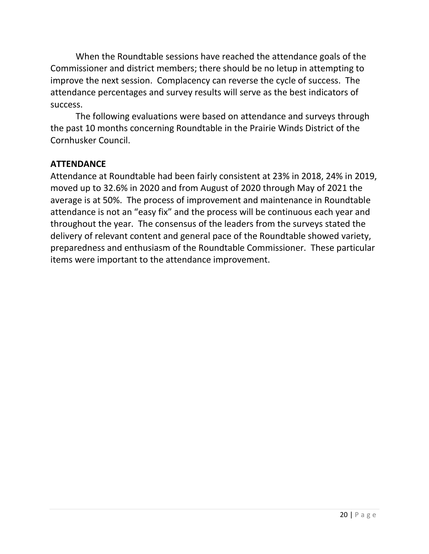When the Roundtable sessions have reached the attendance goals of the Commissioner and district members; there should be no letup in attempting to improve the next session. Complacency can reverse the cycle of success. The attendance percentages and survey results will serve as the best indicators of success.

The following evaluations were based on attendance and surveys through the past 10 months concerning Roundtable in the Prairie Winds District of the Cornhusker Council.

## **ATTENDANCE**

Attendance at Roundtable had been fairly consistent at 23% in 2018, 24% in 2019, moved up to 32.6% in 2020 and from August of 2020 through May of 2021 the average is at 50%. The process of improvement and maintenance in Roundtable attendance is not an "easy fix" and the process will be continuous each year and throughout the year. The consensus of the leaders from the surveys stated the delivery of relevant content and general pace of the Roundtable showed variety, preparedness and enthusiasm of the Roundtable Commissioner. These particular items were important to the attendance improvement.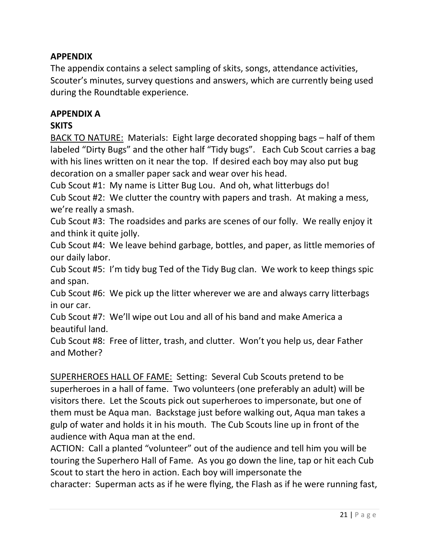## **APPENDIX**

The appendix contains a select sampling of skits, songs, attendance activities, Scouter's minutes, survey questions and answers, which are currently being used during the Roundtable experience.

#### **APPENDIX A**

#### **SKITS**

BACK TO NATURE: Materials: Eight large decorated shopping bags – half of them labeled "Dirty Bugs" and the other half "Tidy bugs". Each Cub Scout carries a bag with his lines written on it near the top. If desired each boy may also put bug decoration on a smaller paper sack and wear over his head.

Cub Scout #1: My name is Litter Bug Lou. And oh, what litterbugs do!

Cub Scout #2: We clutter the country with papers and trash. At making a mess, we're really a smash.

Cub Scout #3: The roadsides and parks are scenes of our folly. We really enjoy it and think it quite jolly.

Cub Scout #4: We leave behind garbage, bottles, and paper, as little memories of our daily labor.

Cub Scout #5: I'm tidy bug Ted of the Tidy Bug clan. We work to keep things spic and span.

Cub Scout #6: We pick up the litter wherever we are and always carry litterbags in our car.

Cub Scout #7: We'll wipe out Lou and all of his band and make America a beautiful land.

Cub Scout #8: Free of litter, trash, and clutter. Won't you help us, dear Father and Mother?

SUPERHEROES HALL OF FAME: Setting: Several Cub Scouts pretend to be superheroes in a hall of fame. Two volunteers (one preferably an adult) will be visitors there. Let the Scouts pick out superheroes to impersonate, but one of them must be Aqua man. Backstage just before walking out, Aqua man takes a gulp of water and holds it in his mouth. The Cub Scouts line up in front of the audience with Aqua man at the end.

ACTION: Call a planted "volunteer" out of the audience and tell him you will be touring the Superhero Hall of Fame. As you go down the line, tap or hit each Cub Scout to start the hero in action. Each boy will impersonate the character: Superman acts as if he were flying, the Flash as if he were running fast,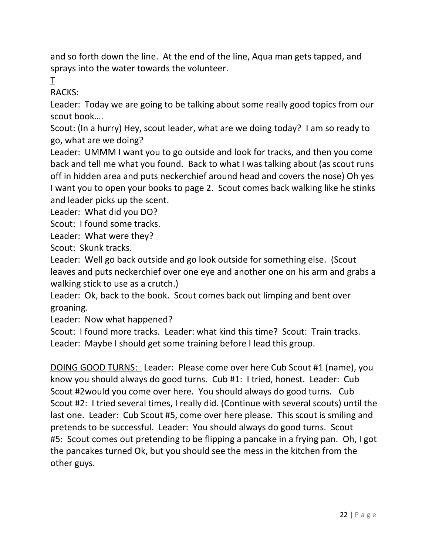and so forth down the line. At the end of the line, Aqua man gets tapped, and sprays into the water towards the volunteer.

T

RACKS:

Leader: Today we are going to be talking about some really good topics from our scout book….

Scout: (In a hurry) Hey, scout leader, what are we doing today? I am so ready to go, what are we doing?

Leader: UMMM I want you to go outside and look for tracks, and then you come back and tell me what you found. Back to what I was talking about (as scout runs off in hidden area and puts neckerchief around head and covers the nose) Oh yes I want you to open your books to page 2. Scout comes back walking like he stinks and leader picks up the scent.

Leader: What did you DO?

Scout: I found some tracks.

Leader: What were they?

Scout: Skunk tracks.

Leader: Well go back outside and go look outside for something else. (Scout leaves and puts neckerchief over one eye and another one on his arm and grabs a walking stick to use as a crutch.)

Leader: Ok, back to the book. Scout comes back out limping and bent over groaning.

Leader: Now what happened?

Scout: I found more tracks. Leader: what kind this time? Scout: Train tracks. Leader: Maybe I should get some training before I lead this group.

DOING GOOD TURNS: Leader: Please come over here Cub Scout #1 (name), you know you should always do good turns. Cub #1: I tried, honest. Leader: Cub Scout #2would you come over here. You should always do good turns. Cub Scout #2: I tried several times, I really did. (Continue with several scouts) until the last one. Leader: Cub Scout #5, come over here please. This scout is smiling and pretends to be successful. Leader: You should always do good turns. Scout #5: Scout comes out pretending to be flipping a pancake in a frying pan. Oh, I got the pancakes turned Ok, but you should see the mess in the kitchen from the other guys.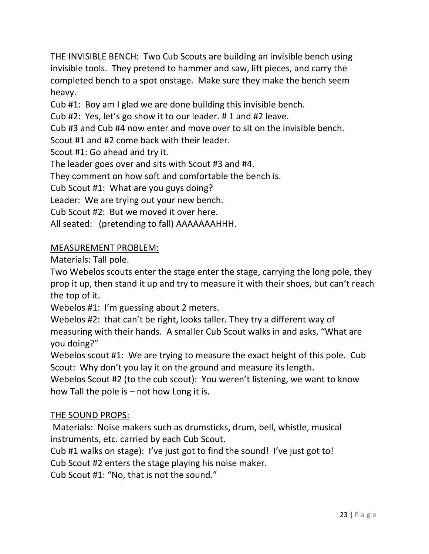THE INVISIBLE BENCH: Two Cub Scouts are building an invisible bench using invisible tools. They pretend to hammer and saw, lift pieces, and carry the completed bench to a spot onstage. Make sure they make the bench seem heavy.

Cub #1: Boy am I glad we are done building this invisible bench.

Cub #2: Yes, let's go show it to our leader. # 1 and #2 leave.

Cub #3 and Cub #4 now enter and move over to sit on the invisible bench.

Scout #1 and #2 come back with their leader.

Scout #1: Go ahead and try it.

The leader goes over and sits with Scout #3 and #4.

They comment on how soft and comfortable the bench is.

Cub Scout #1: What are you guys doing?

Leader: We are trying out your new bench.

Cub Scout #2: But we moved it over here.

All seated: (pretending to fall) AAAAAAAHHH.

## MEASUREMENT PROBLEM:

Materials: Tall pole.

Two Webelos scouts enter the stage enter the stage, carrying the long pole, they prop it up, then stand it up and try to measure it with their shoes, but can't reach the top of it.

Webelos #1: I'm guessing about 2 meters.

Webelos #2: that can't be right, looks taller. They try a different way of measuring with their hands. A smaller Cub Scout walks in and asks, "What are you doing?"

Webelos scout #1: We are trying to measure the exact height of this pole. Cub Scout: Why don't you lay it on the ground and measure its length.

Webelos Scout #2 (to the cub scout): You weren't listening, we want to know how Tall the pole is – not how Long it is.

## THE SOUND PROPS:

Materials: Noise makers such as drumsticks, drum, bell, whistle, musical instruments, etc. carried by each Cub Scout.

Cub #1 walks on stage): I've just got to find the sound! I've just got to!

Cub Scout #2 enters the stage playing his noise maker.

Cub Scout #1: "No, that is not the sound."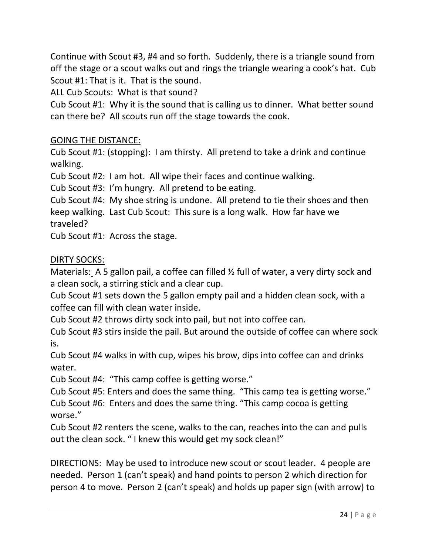Continue with Scout #3, #4 and so forth. Suddenly, there is a triangle sound from off the stage or a scout walks out and rings the triangle wearing a cook's hat. Cub Scout #1: That is it. That is the sound.

ALL Cub Scouts: What is that sound?

Cub Scout #1: Why it is the sound that is calling us to dinner. What better sound can there be? All scouts run off the stage towards the cook.

## GOING THE DISTANCE:

Cub Scout #1: (stopping): I am thirsty. All pretend to take a drink and continue walking.

Cub Scout #2: I am hot. All wipe their faces and continue walking.

Cub Scout #3: I'm hungry. All pretend to be eating.

Cub Scout #4: My shoe string is undone. All pretend to tie their shoes and then keep walking. Last Cub Scout: This sure is a long walk. How far have we traveled?

Cub Scout #1: Across the stage.

## DIRTY SOCKS:

Materials: A 5 gallon pail, a coffee can filled  $\frac{1}{2}$  full of water, a very dirty sock and a clean sock, a stirring stick and a clear cup.

Cub Scout #1 sets down the 5 gallon empty pail and a hidden clean sock, with a coffee can fill with clean water inside.

Cub Scout #2 throws dirty sock into pail, but not into coffee can.

Cub Scout #3 stirs inside the pail. But around the outside of coffee can where sock is.

Cub Scout #4 walks in with cup, wipes his brow, dips into coffee can and drinks water.

Cub Scout #4: "This camp coffee is getting worse."

Cub Scout #5: Enters and does the same thing. "This camp tea is getting worse." Cub Scout #6: Enters and does the same thing. "This camp cocoa is getting worse."

Cub Scout #2 renters the scene, walks to the can, reaches into the can and pulls out the clean sock. " I knew this would get my sock clean!"

DIRECTIONS: May be used to introduce new scout or scout leader. 4 people are needed. Person 1 (can't speak) and hand points to person 2 which direction for person 4 to move. Person 2 (can't speak) and holds up paper sign (with arrow) to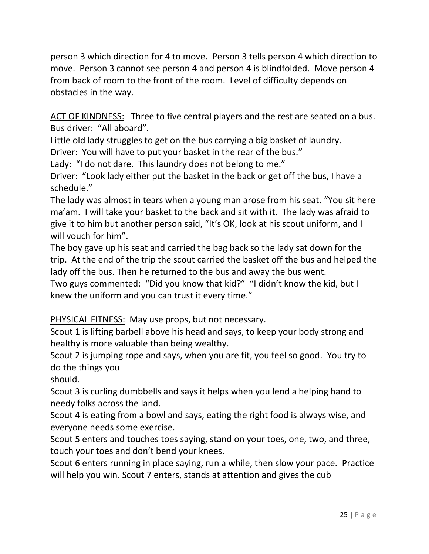person 3 which direction for 4 to move. Person 3 tells person 4 which direction to move. Person 3 cannot see person 4 and person 4 is blindfolded. Move person 4 from back of room to the front of the room. Level of difficulty depends on obstacles in the way.

ACT OF KINDNESS: Three to five central players and the rest are seated on a bus. Bus driver: "All aboard".

Little old lady struggles to get on the bus carrying a big basket of laundry. Driver: You will have to put your basket in the rear of the bus."

Lady: "I do not dare. This laundry does not belong to me."

Driver: "Look lady either put the basket in the back or get off the bus, I have a schedule."

The lady was almost in tears when a young man arose from his seat. "You sit here ma'am. I will take your basket to the back and sit with it. The lady was afraid to give it to him but another person said, "It's OK, look at his scout uniform, and I will vouch for him".

The boy gave up his seat and carried the bag back so the lady sat down for the trip. At the end of the trip the scout carried the basket off the bus and helped the lady off the bus. Then he returned to the bus and away the bus went.

Two guys commented: "Did you know that kid?" "I didn't know the kid, but I knew the uniform and you can trust it every time."

PHYSICAL FITNESS: May use props, but not necessary.

Scout 1 is lifting barbell above his head and says, to keep your body strong and healthy is more valuable than being wealthy.

Scout 2 is jumping rope and says, when you are fit, you feel so good. You try to do the things you

should.

Scout 3 is curling dumbbells and says it helps when you lend a helping hand to needy folks across the land.

Scout 4 is eating from a bowl and says, eating the right food is always wise, and everyone needs some exercise.

Scout 5 enters and touches toes saying, stand on your toes, one, two, and three, touch your toes and don't bend your knees.

Scout 6 enters running in place saying, run a while, then slow your pace. Practice will help you win. Scout 7 enters, stands at attention and gives the cub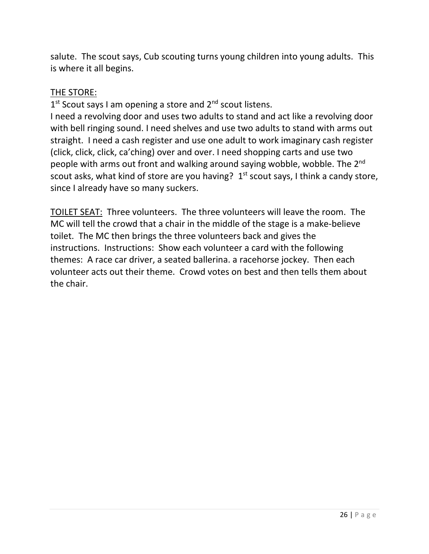salute. The scout says, Cub scouting turns young children into young adults. This is where it all begins.

#### THE STORE:

1<sup>st</sup> Scout says I am opening a store and 2<sup>nd</sup> scout listens.

I need a revolving door and uses two adults to stand and act like a revolving door with bell ringing sound. I need shelves and use two adults to stand with arms out straight. I need a cash register and use one adult to work imaginary cash register (click, click, click, ca'ching) over and over. I need shopping carts and use two people with arms out front and walking around saying wobble, wobble. The 2<sup>nd</sup> scout asks, what kind of store are you having? 1<sup>st</sup> scout says, I think a candy store, since I already have so many suckers.

TOILET SEAT: Three volunteers. The three volunteers will leave the room. The MC will tell the crowd that a chair in the middle of the stage is a make-believe toilet. The MC then brings the three volunteers back and gives the instructions. Instructions: Show each volunteer a card with the following themes: A race car driver, a seated ballerina. a racehorse jockey. Then each volunteer acts out their theme. Crowd votes on best and then tells them about the chair.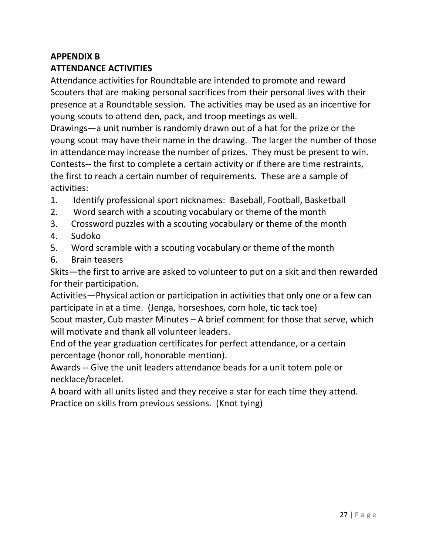## **APPENDIX B ATTENDANCE ACTIVITIES**

Attendance activities for Roundtable are intended to promote and reward Scouters that are making personal sacrifices from their personal lives with their presence at a Roundtable session. The activities may be used as an incentive for young scouts to attend den, pack, and troop meetings as well.

Drawings—a unit number is randomly drawn out of a hat for the prize or the young scout may have their name in the drawing. The larger the number of those in attendance may increase the number of prizes. They must be present to win. Contests-- the first to complete a certain activity or if there are time restraints, the first to reach a certain number of requirements. These are a sample of activities:

- 1. Identify professional sport nicknames: Baseball, Football, Basketball
- 2. Word search with a scouting vocabulary or theme of the month
- 3. Crossword puzzles with a scouting vocabulary or theme of the month
- 4. Sudoko
- 5. Word scramble with a scouting vocabulary or theme of the month
- 6. Brain teasers

Skits—the first to arrive are asked to volunteer to put on a skit and then rewarded for their participation.

Activities—Physical action or participation in activities that only one or a few can participate in at a time. (Jenga, horseshoes, corn hole, tic tack toe)

Scout master, Cub master Minutes – A brief comment for those that serve, which will motivate and thank all volunteer leaders.

End of the year graduation certificates for perfect attendance, or a certain percentage (honor roll, honorable mention).

Awards -- Give the unit leaders attendance beads for a unit totem pole or necklace/bracelet.

A board with all units listed and they receive a star for each time they attend. Practice on skills from previous sessions. (Knot tying)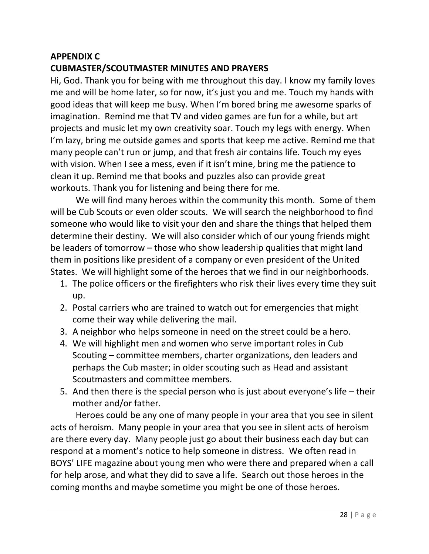### **APPENDIX C**

## **CUBMASTER/SCOUTMASTER MINUTES AND PRAYERS**

Hi, God. Thank you for being with me throughout this day. I know my family loves me and will be home later, so for now, it's just you and me. Touch my hands with good ideas that will keep me busy. When I'm bored bring me awesome sparks of imagination. Remind me that TV and video games are fun for a while, but art projects and music let my own creativity soar. Touch my legs with energy. When I'm lazy, bring me outside games and sports that keep me active. Remind me that many people can't run or jump, and that fresh air contains life. Touch my eyes with vision. When I see a mess, even if it isn't mine, bring me the patience to clean it up. Remind me that books and puzzles also can provide great workouts. Thank you for listening and being there for me.

We will find many heroes within the community this month. Some of them will be Cub Scouts or even older scouts. We will search the neighborhood to find someone who would like to visit your den and share the things that helped them determine their destiny. We will also consider which of our young friends might be leaders of tomorrow – those who show leadership qualities that might land them in positions like president of a company or even president of the United States. We will highlight some of the heroes that we find in our neighborhoods.

- 1. The police officers or the firefighters who risk their lives every time they suit up.
- 2. Postal carriers who are trained to watch out for emergencies that might come their way while delivering the mail.
- 3. A neighbor who helps someone in need on the street could be a hero.
- 4. We will highlight men and women who serve important roles in Cub Scouting – committee members, charter organizations, den leaders and perhaps the Cub master; in older scouting such as Head and assistant Scoutmasters and committee members.
- 5. And then there is the special person who is just about everyone's life their mother and/or father.

Heroes could be any one of many people in your area that you see in silent acts of heroism. Many people in your area that you see in silent acts of heroism are there every day. Many people just go about their business each day but can respond at a moment's notice to help someone in distress. We often read in BOYS' LIFE magazine about young men who were there and prepared when a call for help arose, and what they did to save a life. Search out those heroes in the coming months and maybe sometime you might be one of those heroes.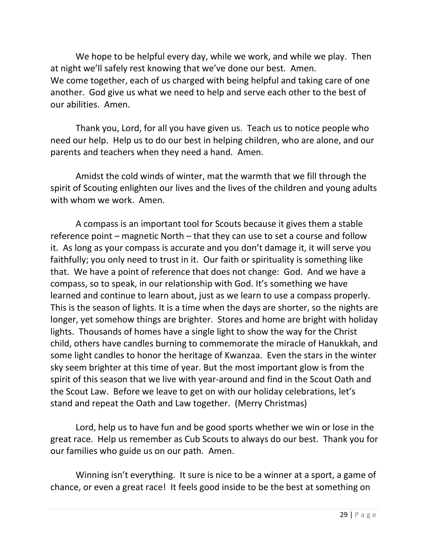We hope to be helpful every day, while we work, and while we play. Then at night we'll safely rest knowing that we've done our best. Amen. We come together, each of us charged with being helpful and taking care of one another. God give us what we need to help and serve each other to the best of our abilities. Amen.

Thank you, Lord, for all you have given us. Teach us to notice people who need our help. Help us to do our best in helping children, who are alone, and our parents and teachers when they need a hand. Amen.

Amidst the cold winds of winter, mat the warmth that we fill through the spirit of Scouting enlighten our lives and the lives of the children and young adults with whom we work. Amen.

A compass is an important tool for Scouts because it gives them a stable reference point – magnetic North – that they can use to set a course and follow it. As long as your compass is accurate and you don't damage it, it will serve you faithfully; you only need to trust in it. Our faith or spirituality is something like that. We have a point of reference that does not change: God. And we have a compass, so to speak, in our relationship with God. It's something we have learned and continue to learn about, just as we learn to use a compass properly. This is the season of lights. It is a time when the days are shorter, so the nights are longer, yet somehow things are brighter. Stores and home are bright with holiday lights. Thousands of homes have a single light to show the way for the Christ child, others have candles burning to commemorate the miracle of Hanukkah, and some light candles to honor the heritage of Kwanzaa. Even the stars in the winter sky seem brighter at this time of year. But the most important glow is from the spirit of this season that we live with year-around and find in the Scout Oath and the Scout Law. Before we leave to get on with our holiday celebrations, let's stand and repeat the Oath and Law together. (Merry Christmas)

Lord, help us to have fun and be good sports whether we win or lose in the great race. Help us remember as Cub Scouts to always do our best. Thank you for our families who guide us on our path. Amen.

Winning isn't everything. It sure is nice to be a winner at a sport, a game of chance, or even a great race! It feels good inside to be the best at something on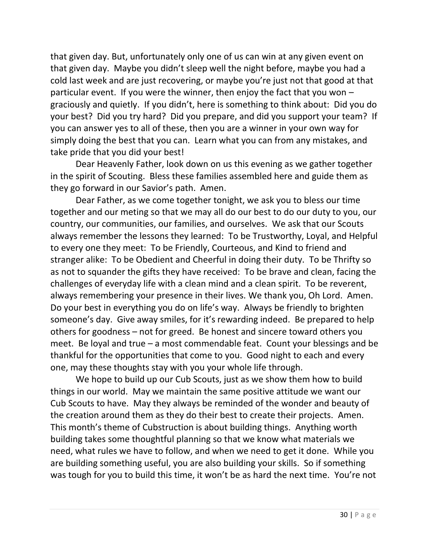that given day. But, unfortunately only one of us can win at any given event on that given day. Maybe you didn't sleep well the night before, maybe you had a cold last week and are just recovering, or maybe you're just not that good at that particular event. If you were the winner, then enjoy the fact that you won – graciously and quietly. If you didn't, here is something to think about: Did you do your best? Did you try hard? Did you prepare, and did you support your team? If you can answer yes to all of these, then you are a winner in your own way for simply doing the best that you can. Learn what you can from any mistakes, and take pride that you did your best!

Dear Heavenly Father, look down on us this evening as we gather together in the spirit of Scouting. Bless these families assembled here and guide them as they go forward in our Savior's path. Amen.

Dear Father, as we come together tonight, we ask you to bless our time together and our meting so that we may all do our best to do our duty to you, our country, our communities, our families, and ourselves. We ask that our Scouts always remember the lessons they learned: To be Trustworthy, Loyal, and Helpful to every one they meet: To be Friendly, Courteous, and Kind to friend and stranger alike: To be Obedient and Cheerful in doing their duty. To be Thrifty so as not to squander the gifts they have received: To be brave and clean, facing the challenges of everyday life with a clean mind and a clean spirit. To be reverent, always remembering your presence in their lives. We thank you, Oh Lord. Amen. Do your best in everything you do on life's way. Always be friendly to brighten someone's day. Give away smiles, for it's rewarding indeed. Be prepared to help others for goodness – not for greed. Be honest and sincere toward others you meet. Be loyal and true – a most commendable feat. Count your blessings and be thankful for the opportunities that come to you. Good night to each and every one, may these thoughts stay with you your whole life through.

We hope to build up our Cub Scouts, just as we show them how to build things in our world. May we maintain the same positive attitude we want our Cub Scouts to have. May they always be reminded of the wonder and beauty of the creation around them as they do their best to create their projects. Amen. This month's theme of Cubstruction is about building things. Anything worth building takes some thoughtful planning so that we know what materials we need, what rules we have to follow, and when we need to get it done. While you are building something useful, you are also building your skills. So if something was tough for you to build this time, it won't be as hard the next time. You're not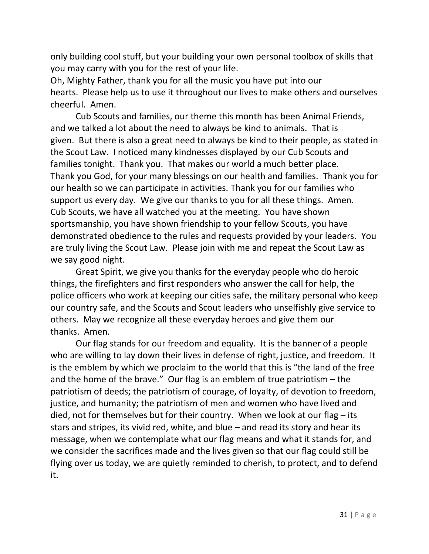only building cool stuff, but your building your own personal toolbox of skills that you may carry with you for the rest of your life.

Oh, Mighty Father, thank you for all the music you have put into our hearts. Please help us to use it throughout our lives to make others and ourselves cheerful. Amen.

Cub Scouts and families, our theme this month has been Animal Friends, and we talked a lot about the need to always be kind to animals. That is given. But there is also a great need to always be kind to their people, as stated in the Scout Law. I noticed many kindnesses displayed by our Cub Scouts and families tonight. Thank you. That makes our world a much better place. Thank you God, for your many blessings on our health and families. Thank you for our health so we can participate in activities. Thank you for our families who support us every day. We give our thanks to you for all these things. Amen. Cub Scouts, we have all watched you at the meeting. You have shown sportsmanship, you have shown friendship to your fellow Scouts, you have demonstrated obedience to the rules and requests provided by your leaders. You are truly living the Scout Law. Please join with me and repeat the Scout Law as we say good night.

Great Spirit, we give you thanks for the everyday people who do heroic things, the firefighters and first responders who answer the call for help, the police officers who work at keeping our cities safe, the military personal who keep our country safe, and the Scouts and Scout leaders who unselfishly give service to others. May we recognize all these everyday heroes and give them our thanks. Amen.

Our flag stands for our freedom and equality. It is the banner of a people who are willing to lay down their lives in defense of right, justice, and freedom. It is the emblem by which we proclaim to the world that this is "the land of the free and the home of the brave." Our flag is an emblem of true patriotism – the patriotism of deeds; the patriotism of courage, of loyalty, of devotion to freedom, justice, and humanity; the patriotism of men and women who have lived and died, not for themselves but for their country. When we look at our flag – its stars and stripes, its vivid red, white, and blue – and read its story and hear its message, when we contemplate what our flag means and what it stands for, and we consider the sacrifices made and the lives given so that our flag could still be flying over us today, we are quietly reminded to cherish, to protect, and to defend it.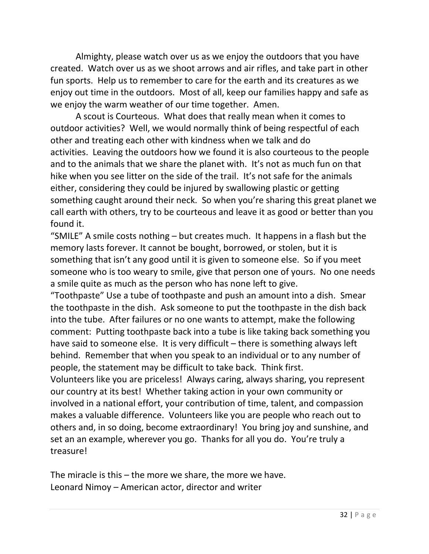Almighty, please watch over us as we enjoy the outdoors that you have created. Watch over us as we shoot arrows and air rifles, and take part in other fun sports. Help us to remember to care for the earth and its creatures as we enjoy out time in the outdoors. Most of all, keep our families happy and safe as we enjoy the warm weather of our time together. Amen.

A scout is Courteous. What does that really mean when it comes to outdoor activities? Well, we would normally think of being respectful of each other and treating each other with kindness when we talk and do activities. Leaving the outdoors how we found it is also courteous to the people and to the animals that we share the planet with. It's not as much fun on that hike when you see litter on the side of the trail. It's not safe for the animals either, considering they could be injured by swallowing plastic or getting something caught around their neck. So when you're sharing this great planet we call earth with others, try to be courteous and leave it as good or better than you found it.

"SMILE" A smile costs nothing – but creates much. It happens in a flash but the memory lasts forever. It cannot be bought, borrowed, or stolen, but it is something that isn't any good until it is given to someone else. So if you meet someone who is too weary to smile, give that person one of yours. No one needs a smile quite as much as the person who has none left to give.

"Toothpaste" Use a tube of toothpaste and push an amount into a dish. Smear the toothpaste in the dish. Ask someone to put the toothpaste in the dish back into the tube. After failures or no one wants to attempt, make the following comment: Putting toothpaste back into a tube is like taking back something you have said to someone else. It is very difficult – there is something always left behind. Remember that when you speak to an individual or to any number of people, the statement may be difficult to take back. Think first. Volunteers like you are priceless! Always caring, always sharing, you represent our country at its best! Whether taking action in your own community or involved in a national effort, your contribution of time, talent, and compassion makes a valuable difference. Volunteers like you are people who reach out to others and, in so doing, become extraordinary! You bring joy and sunshine, and set an an example, wherever you go. Thanks for all you do. You're truly a

treasure!

The miracle is this – the more we share, the more we have. Leonard Nimoy – American actor, director and writer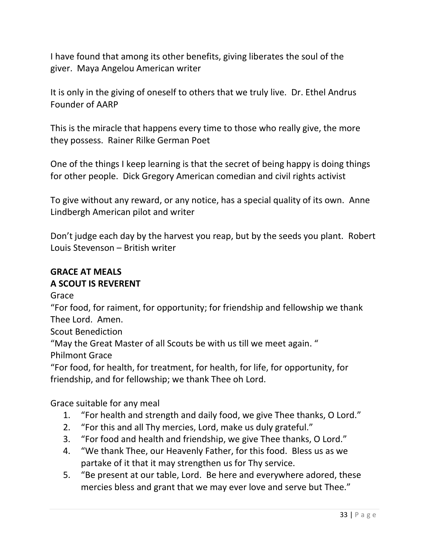I have found that among its other benefits, giving liberates the soul of the giver. Maya Angelou American writer

It is only in the giving of oneself to others that we truly live. Dr. Ethel Andrus Founder of AARP

This is the miracle that happens every time to those who really give, the more they possess. Rainer Rilke German Poet

One of the things I keep learning is that the secret of being happy is doing things for other people. Dick Gregory American comedian and civil rights activist

To give without any reward, or any notice, has a special quality of its own. Anne Lindbergh American pilot and writer

Don't judge each day by the harvest you reap, but by the seeds you plant. Robert Louis Stevenson – British writer

## **GRACE AT MEALS**

#### **A SCOUT IS REVERENT**

Grace

"For food, for raiment, for opportunity; for friendship and fellowship we thank Thee Lord. Amen.

Scout Benediction

"May the Great Master of all Scouts be with us till we meet again. "

Philmont Grace

"For food, for health, for treatment, for health, for life, for opportunity, for friendship, and for fellowship; we thank Thee oh Lord.

Grace suitable for any meal

- 1. "For health and strength and daily food, we give Thee thanks, O Lord."
- 2. "For this and all Thy mercies, Lord, make us duly grateful."
- 3. "For food and health and friendship, we give Thee thanks, O Lord."
- 4. "We thank Thee, our Heavenly Father, for this food. Bless us as we partake of it that it may strengthen us for Thy service.
- 5. "Be present at our table, Lord. Be here and everywhere adored, these mercies bless and grant that we may ever love and serve but Thee."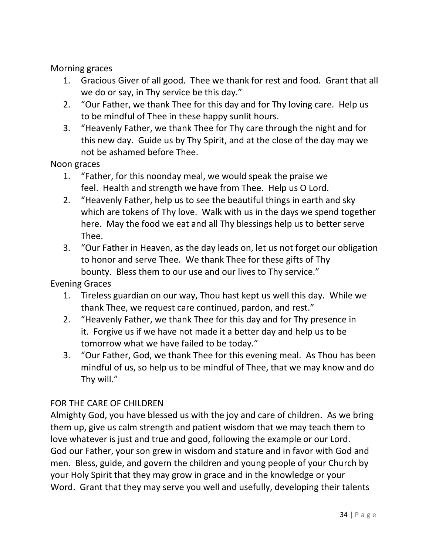Morning graces

- 1. Gracious Giver of all good. Thee we thank for rest and food. Grant that all we do or say, in Thy service be this day."
- 2. "Our Father, we thank Thee for this day and for Thy loving care. Help us to be mindful of Thee in these happy sunlit hours.
- 3. "Heavenly Father, we thank Thee for Thy care through the night and for this new day. Guide us by Thy Spirit, and at the close of the day may we not be ashamed before Thee.

Noon graces

- 1. "Father, for this noonday meal, we would speak the praise we feel. Health and strength we have from Thee. Help us O Lord.
- 2. "Heavenly Father, help us to see the beautiful things in earth and sky which are tokens of Thy love. Walk with us in the days we spend together here. May the food we eat and all Thy blessings help us to better serve Thee.
- 3. "Our Father in Heaven, as the day leads on, let us not forget our obligation to honor and serve Thee. We thank Thee for these gifts of Thy bounty. Bless them to our use and our lives to Thy service."

Evening Graces

- 1. Tireless guardian on our way, Thou hast kept us well this day. While we thank Thee, we request care continued, pardon, and rest."
- 2. "Heavenly Father, we thank Thee for this day and for Thy presence in it. Forgive us if we have not made it a better day and help us to be tomorrow what we have failed to be today."
- 3. "Our Father, God, we thank Thee for this evening meal. As Thou has been mindful of us, so help us to be mindful of Thee, that we may know and do Thy will."

## FOR THE CARE OF CHILDREN

Almighty God, you have blessed us with the joy and care of children. As we bring them up, give us calm strength and patient wisdom that we may teach them to love whatever is just and true and good, following the example or our Lord. God our Father, your son grew in wisdom and stature and in favor with God and men. Bless, guide, and govern the children and young people of your Church by your Holy Spirit that they may grow in grace and in the knowledge or your Word. Grant that they may serve you well and usefully, developing their talents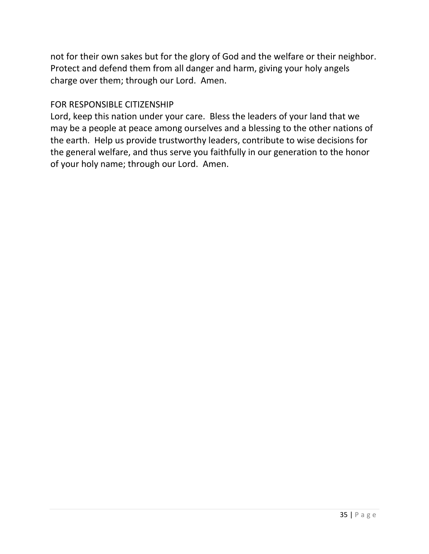not for their own sakes but for the glory of God and the welfare or their neighbor. Protect and defend them from all danger and harm, giving your holy angels charge over them; through our Lord. Amen.

#### FOR RESPONSIBLE CITIZENSHIP

Lord, keep this nation under your care. Bless the leaders of your land that we may be a people at peace among ourselves and a blessing to the other nations of the earth. Help us provide trustworthy leaders, contribute to wise decisions for the general welfare, and thus serve you faithfully in our generation to the honor of your holy name; through our Lord. Amen.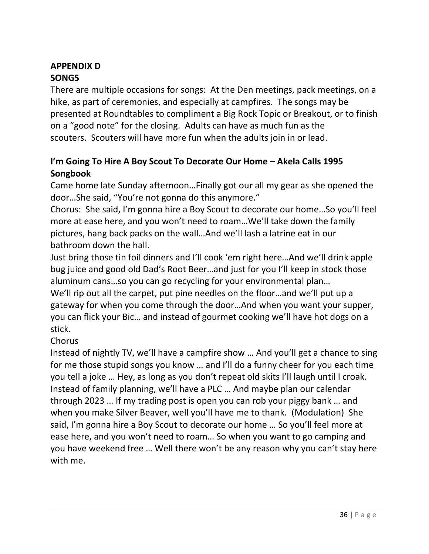## **APPENDIX D SONGS**

There are multiple occasions for songs: At the Den meetings, pack meetings, on a hike, as part of ceremonies, and especially at campfires. The songs may be presented at Roundtables to compliment a Big Rock Topic or Breakout, or to finish on a "good note" for the closing. Adults can have as much fun as the scouters. Scouters will have more fun when the adults join in or lead.

## **I'm Going To Hire A Boy Scout To Decorate Our Home – Akela Calls 1995 Songbook**

Came home late Sunday afternoon…Finally got our all my gear as she opened the door…She said, "You're not gonna do this anymore."

Chorus: She said, I'm gonna hire a Boy Scout to decorate our home…So you'll feel more at ease here, and you won't need to roam…We'll take down the family pictures, hang back packs on the wall…And we'll lash a latrine eat in our bathroom down the hall.

Just bring those tin foil dinners and I'll cook 'em right here…And we'll drink apple bug juice and good old Dad's Root Beer…and just for you I'll keep in stock those aluminum cans…so you can go recycling for your environmental plan…

We'll rip out all the carpet, put pine needles on the floor…and we'll put up a gateway for when you come through the door…And when you want your supper, you can flick your Bic… and instead of gourmet cooking we'll have hot dogs on a stick.

Chorus

Instead of nightly TV, we'll have a campfire show … And you'll get a chance to sing for me those stupid songs you know … and I'll do a funny cheer for you each time you tell a joke … Hey, as long as you don't repeat old skits I'll laugh until I croak. Instead of family planning, we'll have a PLC … And maybe plan our calendar through 2023 … If my trading post is open you can rob your piggy bank … and when you make Silver Beaver, well you'll have me to thank. (Modulation) She said, I'm gonna hire a Boy Scout to decorate our home … So you'll feel more at ease here, and you won't need to roam… So when you want to go camping and you have weekend free … Well there won't be any reason why you can't stay here with me.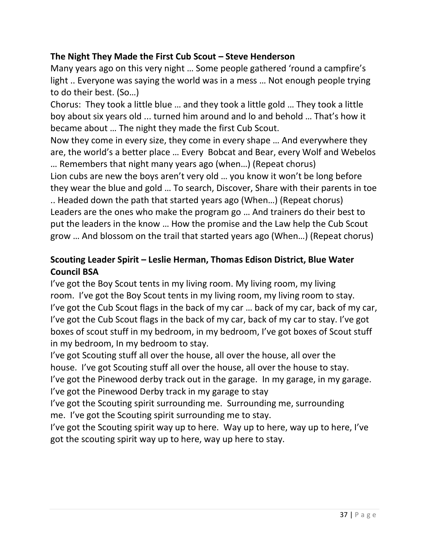## **The Night They Made the First Cub Scout – Steve Henderson**

Many years ago on this very night … Some people gathered 'round a campfire's light .. Everyone was saying the world was in a mess … Not enough people trying to do their best. (So…)

Chorus: They took a little blue … and they took a little gold … They took a little boy about six years old ... turned him around and lo and behold … That's how it became about … The night they made the first Cub Scout.

Now they come in every size, they come in every shape … And everywhere they are, the world's a better place … Every Bobcat and Bear, every Wolf and Webelos … Remembers that night many years ago (when…) (Repeat chorus)

Lion cubs are new the boys aren't very old … you know it won't be long before they wear the blue and gold … To search, Discover, Share with their parents in toe

.. Headed down the path that started years ago (When…) (Repeat chorus) Leaders are the ones who make the program go … And trainers do their best to put the leaders in the know … How the promise and the Law help the Cub Scout grow … And blossom on the trail that started years ago (When…) (Repeat chorus)

## **Scouting Leader Spirit – Leslie Herman, Thomas Edison District, Blue Water Council BSA**

I've got the Boy Scout tents in my living room. My living room, my living room. I've got the Boy Scout tents in my living room, my living room to stay. I've got the Cub Scout flags in the back of my car … back of my car, back of my car, I've got the Cub Scout flags in the back of my car, back of my car to stay. I've got boxes of scout stuff in my bedroom, in my bedroom, I've got boxes of Scout stuff in my bedroom, In my bedroom to stay.

I've got Scouting stuff all over the house, all over the house, all over the house. I've got Scouting stuff all over the house, all over the house to stay. I've got the Pinewood derby track out in the garage. In my garage, in my garage. I've got the Pinewood Derby track in my garage to stay

I've got the Scouting spirit surrounding me. Surrounding me, surrounding me. I've got the Scouting spirit surrounding me to stay.

I've got the Scouting spirit way up to here. Way up to here, way up to here, I've got the scouting spirit way up to here, way up here to stay.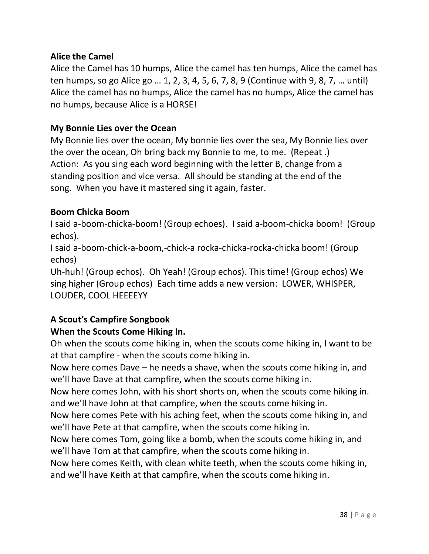## **Alice the Camel**

Alice the Camel has 10 humps, Alice the camel has ten humps, Alice the camel has ten humps, so go Alice go … 1, 2, 3, 4, 5, 6, 7, 8, 9 (Continue with 9, 8, 7, … until) Alice the camel has no humps, Alice the camel has no humps, Alice the camel has no humps, because Alice is a HORSE!

#### **My Bonnie Lies over the Ocean**

My Bonnie lies over the ocean, My bonnie lies over the sea, My Bonnie lies over the over the ocean, Oh bring back my Bonnie to me, to me. (Repeat .) Action: As you sing each word beginning with the letter B, change from a standing position and vice versa. All should be standing at the end of the song. When you have it mastered sing it again, faster.

#### **Boom Chicka Boom**

I said a-boom-chicka-boom! (Group echoes). I said a-boom-chicka boom! (Group echos).

I said a-boom-chick-a-boom,-chick-a rocka-chicka-rocka-chicka boom! (Group echos)

Uh-huh! (Group echos). Oh Yeah! (Group echos). This time! (Group echos) We sing higher (Group echos) Each time adds a new version: LOWER, WHISPER, LOUDER, COOL HEEEEYY

## **A Scout's Campfire Songbook**

#### **When the Scouts Come Hiking In.**

Oh when the scouts come hiking in, when the scouts come hiking in, I want to be at that campfire - when the scouts come hiking in.

Now here comes Dave – he needs a shave, when the scouts come hiking in, and we'll have Dave at that campfire, when the scouts come hiking in.

Now here comes John, with his short shorts on, when the scouts come hiking in. and we'll have John at that campfire, when the scouts come hiking in.

Now here comes Pete with his aching feet, when the scouts come hiking in, and we'll have Pete at that campfire, when the scouts come hiking in.

Now here comes Tom, going like a bomb, when the scouts come hiking in, and we'll have Tom at that campfire, when the scouts come hiking in.

Now here comes Keith, with clean white teeth, when the scouts come hiking in, and we'll have Keith at that campfire, when the scouts come hiking in.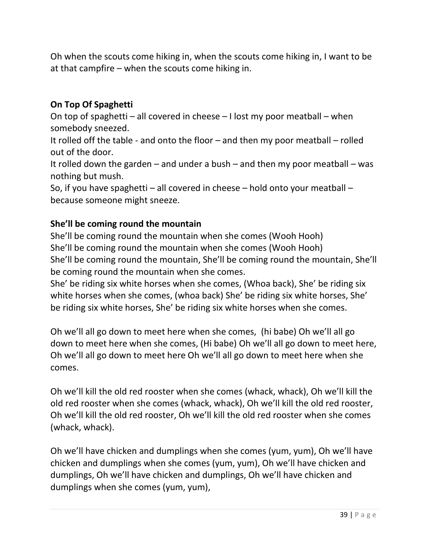Oh when the scouts come hiking in, when the scouts come hiking in, I want to be at that campfire – when the scouts come hiking in.

### **On Top Of Spaghetti**

On top of spaghetti – all covered in cheese – I lost my poor meatball – when somebody sneezed.

It rolled off the table - and onto the floor – and then my poor meatball – rolled out of the door.

It rolled down the garden – and under a bush – and then my poor meatball – was nothing but mush.

So, if you have spaghetti – all covered in cheese – hold onto your meatball – because someone might sneeze.

## **She'll be coming round the mountain**

She'll be coming round the mountain when she comes (Wooh Hooh) She'll be coming round the mountain when she comes (Wooh Hooh) She'll be coming round the mountain, She'll be coming round the mountain, She'll be coming round the mountain when she comes.

She' be riding six white horses when she comes, (Whoa back), She' be riding six white horses when she comes, (whoa back) She' be riding six white horses, She' be riding six white horses, She' be riding six white horses when she comes.

Oh we'll all go down to meet here when she comes, (hi babe) Oh we'll all go down to meet here when she comes, (Hi babe) Oh we'll all go down to meet here, Oh we'll all go down to meet here Oh we'll all go down to meet here when she comes.

Oh we'll kill the old red rooster when she comes (whack, whack), Oh we'll kill the old red rooster when she comes (whack, whack), Oh we'll kill the old red rooster, Oh we'll kill the old red rooster, Oh we'll kill the old red rooster when she comes (whack, whack).

Oh we'll have chicken and dumplings when she comes (yum, yum), Oh we'll have chicken and dumplings when she comes (yum, yum), Oh we'll have chicken and dumplings, Oh we'll have chicken and dumplings, Oh we'll have chicken and dumplings when she comes (yum, yum),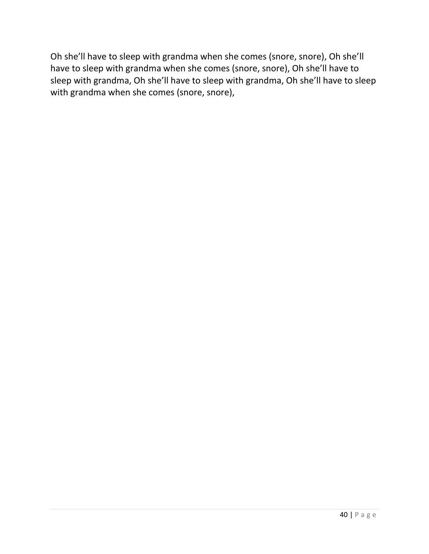Oh she'll have to sleep with grandma when she comes (snore, snore), Oh she'll have to sleep with grandma when she comes (snore, snore), Oh she'll have to sleep with grandma, Oh she'll have to sleep with grandma, Oh she'll have to sleep with grandma when she comes (snore, snore),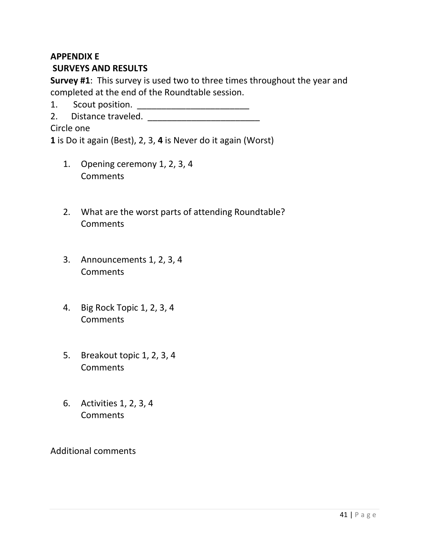#### **APPENDIX E**

#### **SURVEYS AND RESULTS**

**Survey #1**: This survey is used two to three times throughout the year and completed at the end of the Roundtable session.

- 1. Scout position. \_\_\_\_\_\_\_\_\_\_\_\_\_\_\_\_\_\_\_\_\_\_\_
- 2. Distance traveled.

Circle one

**1** is Do it again (Best), 2, 3, **4** is Never do it again (Worst)

- 1. Opening ceremony 1, 2, 3, 4 **Comments**
- 2. What are the worst parts of attending Roundtable? **Comments**
- 3. Announcements 1, 2, 3, 4 **Comments**
- 4. Big Rock Topic 1, 2, 3, 4 **Comments**
- 5. Breakout topic 1, 2, 3, 4 **Comments**
- 6. Activities 1, 2, 3, 4 **Comments**

Additional comments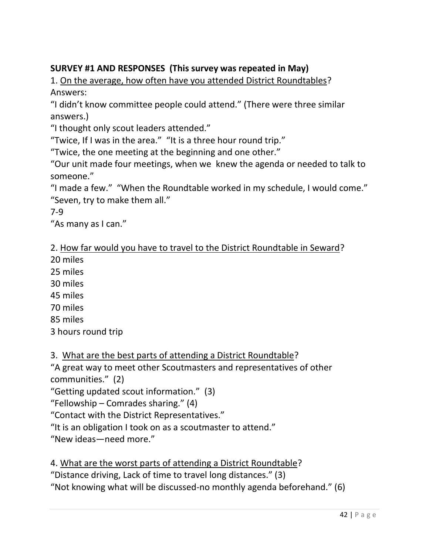## **SURVEY #1 AND RESPONSES (This survey was repeated in May)**

1. On the average, how often have you attended District Roundtables? Answers:

"I didn't know committee people could attend." (There were three similar answers.)

"I thought only scout leaders attended."

"Twice, If I was in the area." "It is a three hour round trip."

"Twice, the one meeting at the beginning and one other."

"Our unit made four meetings, when we knew the agenda or needed to talk to someone."

"I made a few." "When the Roundtable worked in my schedule, I would come." "Seven, try to make them all."

7-9

"As many as I can."

2. How far would you have to travel to the District Roundtable in Seward?

20 miles

25 miles

30 miles

45 miles

70 miles

85 miles

3 hours round trip

3. What are the best parts of attending a District Roundtable?

"A great way to meet other Scoutmasters and representatives of other communities." (2)

"Getting updated scout information." (3)

"Fellowship – Comrades sharing."  $(4)$ 

"Contact with the District Representatives."

"It is an obligation I took on as a scoutmaster to attend."

"New ideas—need more."

4. What are the worst parts of attending a District Roundtable?

"Distance driving, Lack of time to travel long distances." (3)

"Not knowing what will be discussed-no monthly agenda beforehand." (6)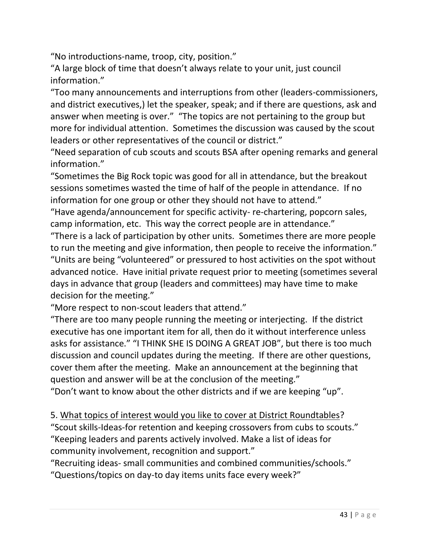"No introductions-name, troop, city, position."

"A large block of time that doesn't always relate to your unit, just council information."

"Too many announcements and interruptions from other (leaders-commissioners, and district executives,) let the speaker, speak; and if there are questions, ask and answer when meeting is over." "The topics are not pertaining to the group but more for individual attention. Sometimes the discussion was caused by the scout leaders or other representatives of the council or district."

"Need separation of cub scouts and scouts BSA after opening remarks and general information."

"Sometimes the Big Rock topic was good for all in attendance, but the breakout sessions sometimes wasted the time of half of the people in attendance. If no information for one group or other they should not have to attend."

"Have agenda/announcement for specific activity- re-chartering, popcorn sales, camp information, etc. This way the correct people are in attendance."

"There is a lack of participation by other units. Sometimes there are more people to run the meeting and give information, then people to receive the information." "Units are being "volunteered" or pressured to host activities on the spot without advanced notice. Have initial private request prior to meeting (sometimes several days in advance that group (leaders and committees) may have time to make decision for the meeting."

"More respect to non-scout leaders that attend."

"There are too many people running the meeting or interjecting. If the district executive has one important item for all, then do it without interference unless asks for assistance." "I THINK SHE IS DOING A GREAT JOB", but there is too much discussion and council updates during the meeting. If there are other questions, cover them after the meeting. Make an announcement at the beginning that question and answer will be at the conclusion of the meeting."

"Don't want to know about the other districts and if we are keeping "up".

5. What topics of interest would you like to cover at District Roundtables?

"Scout skills-Ideas-for retention and keeping crossovers from cubs to scouts." "Keeping leaders and parents actively involved. Make a list of ideas for

community involvement, recognition and support."

"Recruiting ideas- small communities and combined communities/schools."

"Questions/topics on day-to day items units face every week?"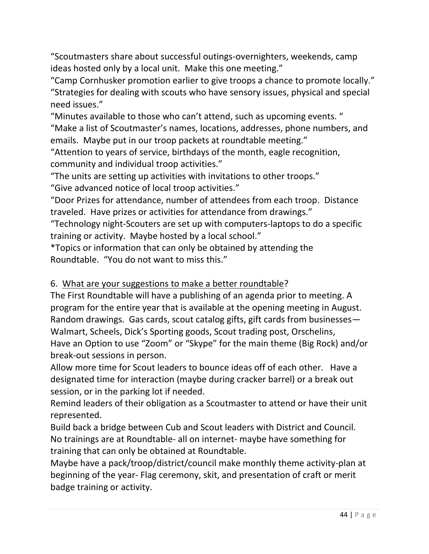"Scoutmasters share about successful outings-overnighters, weekends, camp ideas hosted only by a local unit. Make this one meeting."

"Camp Cornhusker promotion earlier to give troops a chance to promote locally." "Strategies for dealing with scouts who have sensory issues, physical and special need issues."

"Minutes available to those who can't attend, such as upcoming events. " "Make a list of Scoutmaster's names, locations, addresses, phone numbers, and emails. Maybe put in our troop packets at roundtable meeting."

"Attention to years of service, birthdays of the month, eagle recognition, community and individual troop activities."

"The units are setting up activities with invitations to other troops." "Give advanced notice of local troop activities."

"Door Prizes for attendance, number of attendees from each troop. Distance traveled. Have prizes or activities for attendance from drawings."

"Technology night-Scouters are set up with computers-laptops to do a specific training or activity. Maybe hosted by a local school."

\*Topics or information that can only be obtained by attending the Roundtable. "You do not want to miss this."

## 6. What are your suggestions to make a better roundtable?

The First Roundtable will have a publishing of an agenda prior to meeting. A program for the entire year that is available at the opening meeting in August. Random drawings. Gas cards, scout catalog gifts, gift cards from businesses— Walmart, Scheels, Dick's Sporting goods, Scout trading post, Orschelins, Have an Option to use "Zoom" or "Skype" for the main theme (Big Rock) and/or break-out sessions in person.

Allow more time for Scout leaders to bounce ideas off of each other. Have a designated time for interaction (maybe during cracker barrel) or a break out session, or in the parking lot if needed.

Remind leaders of their obligation as a Scoutmaster to attend or have their unit represented.

Build back a bridge between Cub and Scout leaders with District and Council. No trainings are at Roundtable- all on internet- maybe have something for training that can only be obtained at Roundtable.

Maybe have a pack/troop/district/council make monthly theme activity-plan at beginning of the year- Flag ceremony, skit, and presentation of craft or merit badge training or activity.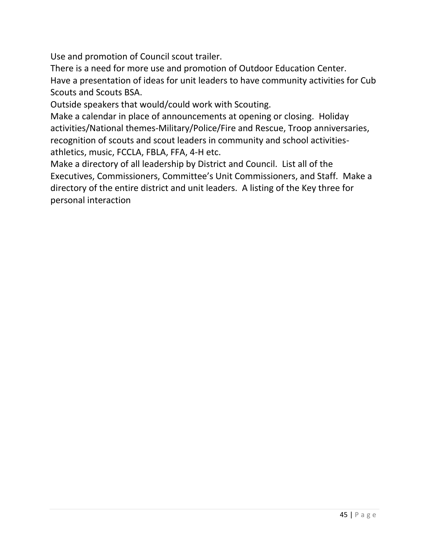Use and promotion of Council scout trailer.

There is a need for more use and promotion of Outdoor Education Center. Have a presentation of ideas for unit leaders to have community activities for Cub Scouts and Scouts BSA.

Outside speakers that would/could work with Scouting.

Make a calendar in place of announcements at opening or closing. Holiday activities/National themes-Military/Police/Fire and Rescue, Troop anniversaries, recognition of scouts and scout leaders in community and school activitiesathletics, music, FCCLA, FBLA, FFA, 4-H etc.

Make a directory of all leadership by District and Council. List all of the Executives, Commissioners, Committee's Unit Commissioners, and Staff. Make a directory of the entire district and unit leaders. A listing of the Key three for personal interaction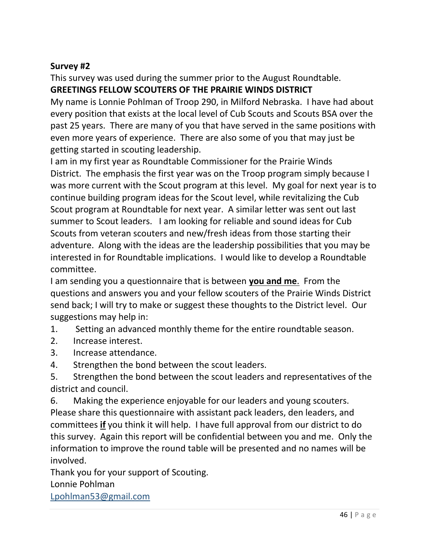## **Survey #2**

This survey was used during the summer prior to the August Roundtable.

## **GREETINGS FELLOW SCOUTERS OF THE PRAIRIE WINDS DISTRICT**

My name is Lonnie Pohlman of Troop 290, in Milford Nebraska. I have had about every position that exists at the local level of Cub Scouts and Scouts BSA over the past 25 years. There are many of you that have served in the same positions with even more years of experience. There are also some of you that may just be getting started in scouting leadership.

I am in my first year as Roundtable Commissioner for the Prairie Winds District. The emphasis the first year was on the Troop program simply because I was more current with the Scout program at this level. My goal for next year is to continue building program ideas for the Scout level, while revitalizing the Cub Scout program at Roundtable for next year. A similar letter was sent out last summer to Scout leaders. I am looking for reliable and sound ideas for Cub Scouts from veteran scouters and new/fresh ideas from those starting their adventure. Along with the ideas are the leadership possibilities that you may be interested in for Roundtable implications. I would like to develop a Roundtable committee.

I am sending you a questionnaire that is between **you and me**. From the questions and answers you and your fellow scouters of the Prairie Winds District send back; I will try to make or suggest these thoughts to the District level. Our suggestions may help in:

1. Setting an advanced monthly theme for the entire roundtable season.

- 2. Increase interest.
- 3. Increase attendance.
- 4. Strengthen the bond between the scout leaders.

5. Strengthen the bond between the scout leaders and representatives of the district and council.

6. Making the experience enjoyable for our leaders and young scouters. Please share this questionnaire with assistant pack leaders, den leaders, and committees **if** you think it will help. I have full approval from our district to do this survey. Again this report will be confidential between you and me. Only the information to improve the round table will be presented and no names will be involved.

Thank you for your support of Scouting. Lonnie Pohlman [Lpohlman53@gmail.com](mailto:Lpohlman53@gmail.com)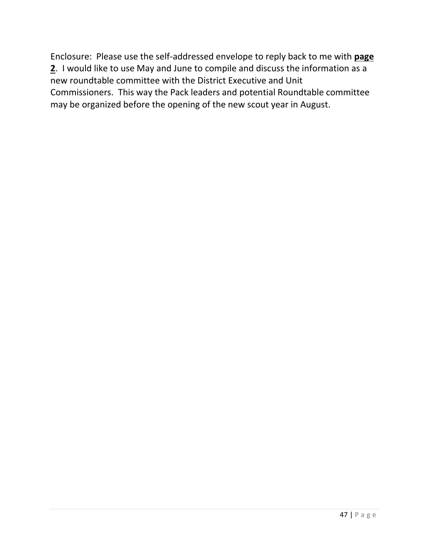Enclosure: Please use the self-addressed envelope to reply back to me with **page 2**. I would like to use May and June to compile and discuss the information as a new roundtable committee with the District Executive and Unit Commissioners. This way the Pack leaders and potential Roundtable committee may be organized before the opening of the new scout year in August.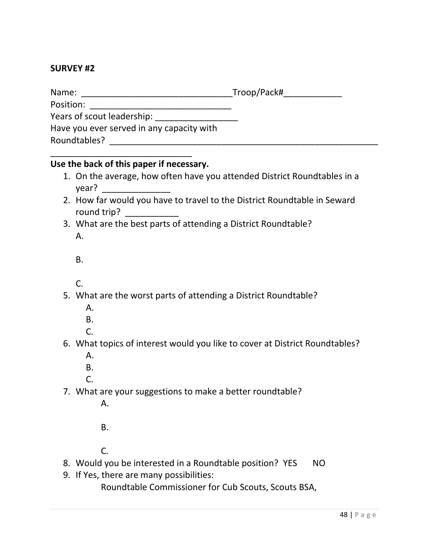#### **SURVEY #2**

| Name:                                     | Troop/Pack# |
|-------------------------------------------|-------------|
| Position:                                 |             |
| Years of scout leadership:                |             |
| Have you ever served in any capacity with |             |
| Roundtables?                              |             |

#### **Use the back of this paper if necessary.**

\_\_\_\_\_\_\_\_\_\_\_\_\_\_\_\_\_\_\_\_\_\_\_\_\_\_\_\_\_

- 1. On the average, how often have you attended District Roundtables in a year?
- 2. How far would you have to travel to the District Roundtable in Seward round trip?
- 3. What are the best parts of attending a District Roundtable? A.
	- B.
	- C.
- 5. What are the worst parts of attending a District Roundtable?
	- A.
	- B.
	- C.
- 6. What topics of interest would you like to cover at District Roundtables?
	- A.
	- B.
	- C.
- 7. What are your suggestions to make a better roundtable?
	- A.
	- B.
	- C.
- 8. Would you be interested in a Roundtable position? YES NO
- 9. If Yes, there are many possibilities:

Roundtable Commissioner for Cub Scouts, Scouts BSA,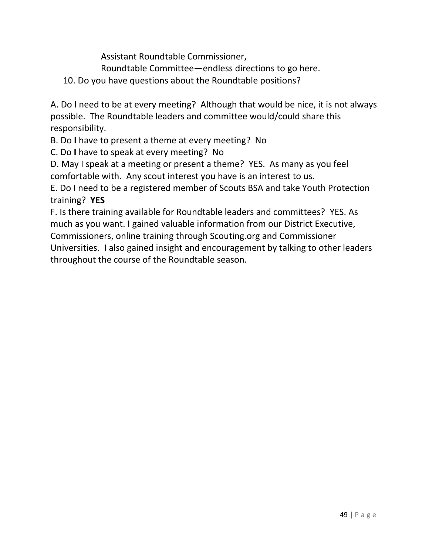Assistant Roundtable Commissioner,

Roundtable Committee—endless directions to go here.

10. Do you have questions about the Roundtable positions?

A. Do I need to be at every meeting? Although that would be nice, it is not always possible. The Roundtable leaders and committee would/could share this responsibility.

B. Do **I** have to present a theme at every meeting? No

C. Do **I** have to speak at every meeting? No

D. May I speak at a meeting or present a theme? YES. As many as you feel comfortable with. Any scout interest you have is an interest to us.

E. Do I need to be a registered member of Scouts BSA and take Youth Protection training? **YES**

F. Is there training available for Roundtable leaders and committees? YES. As much as you want. I gained valuable information from our District Executive, Commissioners, online training through Scouting.org and Commissioner Universities. I also gained insight and encouragement by talking to other leaders throughout the course of the Roundtable season.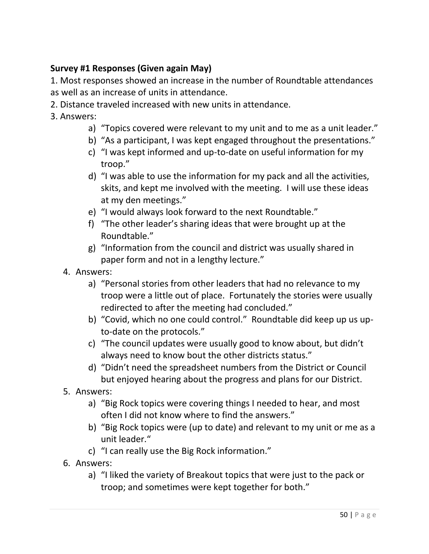## **Survey #1 Responses (Given again May)**

1. Most responses showed an increase in the number of Roundtable attendances as well as an increase of units in attendance.

- 2. Distance traveled increased with new units in attendance.
- 3. Answers:
	- a) "Topics covered were relevant to my unit and to me as a unit leader."
	- b) "As a participant, I was kept engaged throughout the presentations."
	- c) "I was kept informed and up-to-date on useful information for my troop."
	- d) "I was able to use the information for my pack and all the activities, skits, and kept me involved with the meeting. I will use these ideas at my den meetings."
	- e) "I would always look forward to the next Roundtable."
	- f) "The other leader's sharing ideas that were brought up at the Roundtable."
	- g) "Information from the council and district was usually shared in paper form and not in a lengthy lecture."
	- 4. Answers:
		- a) "Personal stories from other leaders that had no relevance to my troop were a little out of place. Fortunately the stories were usually redirected to after the meeting had concluded."
		- b) "Covid, which no one could control." Roundtable did keep up us upto-date on the protocols."
		- c) "The council updates were usually good to know about, but didn't always need to know bout the other districts status."
		- d) "Didn't need the spreadsheet numbers from the District or Council but enjoyed hearing about the progress and plans for our District.
	- 5. Answers:
		- a) "Big Rock topics were covering things I needed to hear, and most often I did not know where to find the answers."
		- b) "Big Rock topics were (up to date) and relevant to my unit or me as a unit leader."
		- c) "I can really use the Big Rock information."
	- 6. Answers:
		- a) "I liked the variety of Breakout topics that were just to the pack or troop; and sometimes were kept together for both."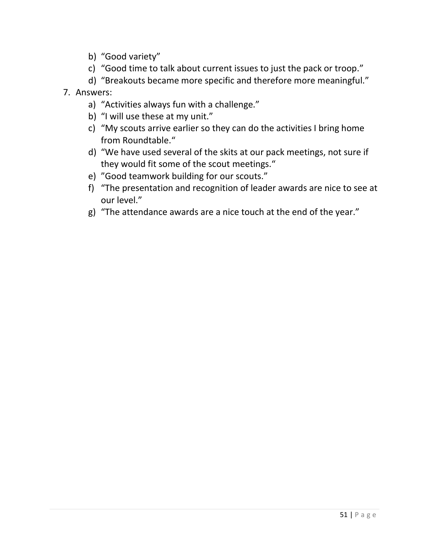- b) "Good variety"
- c) "Good time to talk about current issues to just the pack or troop."
- d) "Breakouts became more specific and therefore more meaningful."
- 7. Answers:
	- a) "Activities always fun with a challenge."
	- b) "I will use these at my unit."
	- c) "My scouts arrive earlier so they can do the activities I bring home from Roundtable."
	- d) "We have used several of the skits at our pack meetings, not sure if they would fit some of the scout meetings."
	- e) "Good teamwork building for our scouts."
	- f) "The presentation and recognition of leader awards are nice to see at our level."
	- g) "The attendance awards are a nice touch at the end of the year."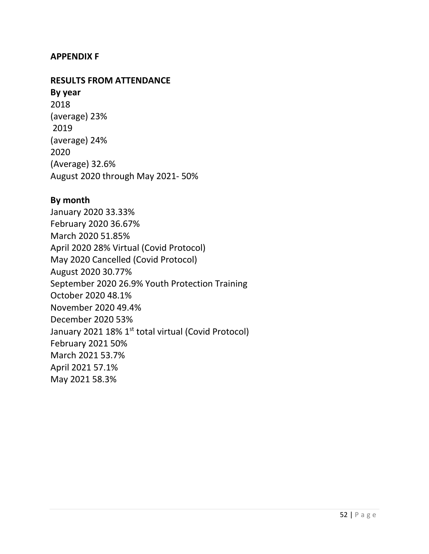#### **APPENDIX F**

#### **RESULTS FROM ATTENDANCE**

**By year**  2018 (average) 23% 2019 (average) 24% 2020 (Average) 32.6% August 2020 through May 2021- 50%

#### **By month**

January 2020 33.33% February 2020 36.67% March 2020 51.85% April 2020 28% Virtual (Covid Protocol) May 2020 Cancelled (Covid Protocol) August 2020 30.77% September 2020 26.9% Youth Protection Training October 2020 48.1% November 2020 49.4% December 2020 53% January 2021 18% 1<sup>st</sup> total virtual (Covid Protocol) February 2021 50% March 2021 53.7% April 2021 57.1% May 2021 58.3%